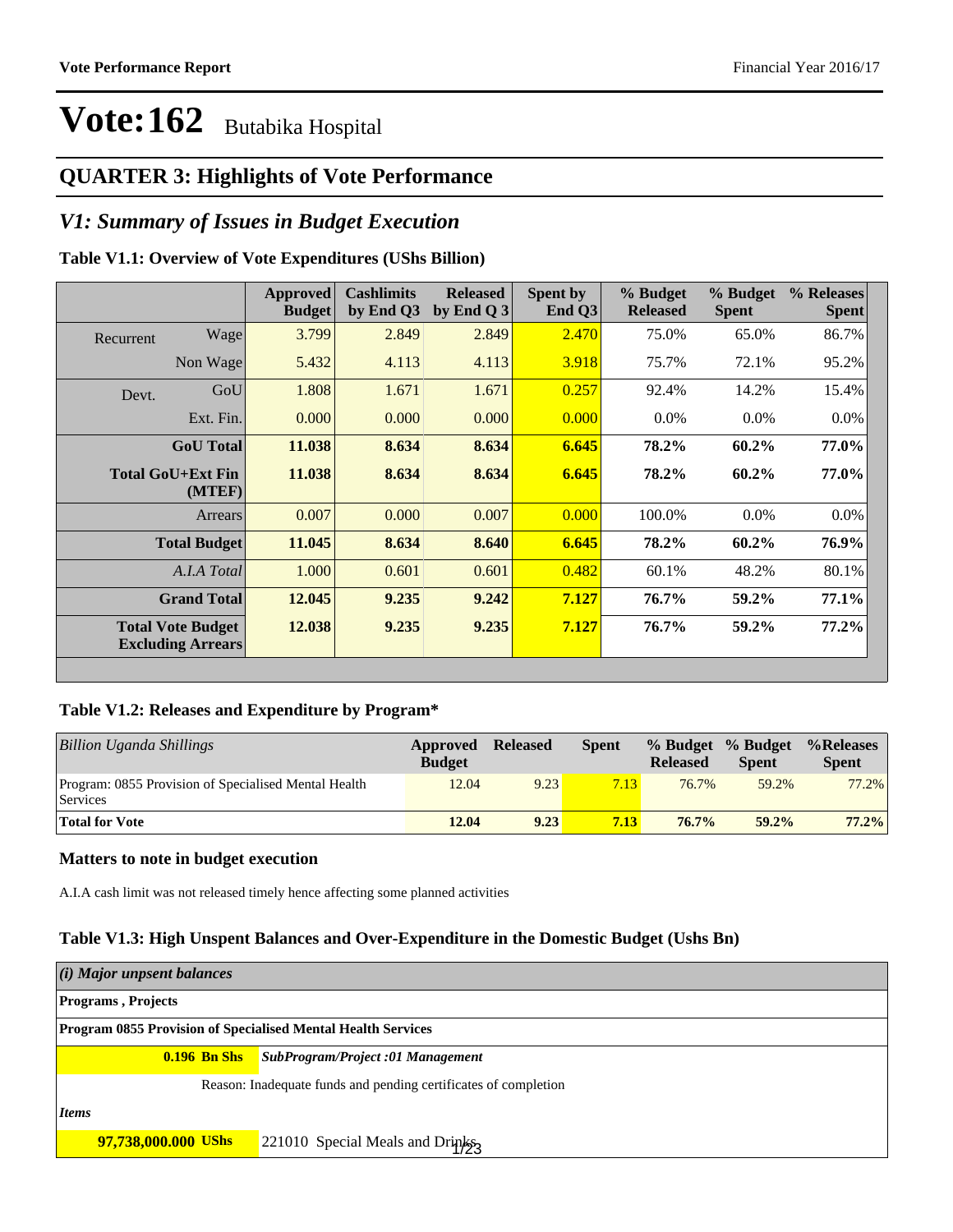### **QUARTER 3: Highlights of Vote Performance**

### *V1: Summary of Issues in Budget Execution*

#### **Table V1.1: Overview of Vote Expenditures (UShs Billion)**

|           |                                                      | Approved<br><b>Budget</b> | <b>Cashlimits</b><br>by End Q3 | <b>Released</b><br>by End Q $3$ | Spent by<br>End $Q3$ | % Budget<br><b>Released</b> | % Budget<br><b>Spent</b> | % Releases<br><b>Spent</b> |
|-----------|------------------------------------------------------|---------------------------|--------------------------------|---------------------------------|----------------------|-----------------------------|--------------------------|----------------------------|
| Recurrent | Wage                                                 | 3.799                     | 2.849                          | 2.849                           | 2.470                | 75.0%                       | 65.0%                    | 86.7%                      |
|           | Non Wage                                             | 5.432                     | 4.113                          | 4.113                           | 3.918                | 75.7%                       | 72.1%                    | 95.2%                      |
| Devt.     | GoU                                                  | 1.808                     | 1.671                          | 1.671                           | 0.257                | 92.4%                       | 14.2%                    | 15.4%                      |
|           | Ext. Fin.                                            | 0.000                     | 0.000                          | 0.000                           | 0.000                | $0.0\%$                     | $0.0\%$                  | $0.0\%$                    |
|           | <b>GoU</b> Total                                     | 11.038                    | 8.634                          | 8.634                           | 6.645                | 78.2%                       | 60.2%                    | 77.0%                      |
|           | <b>Total GoU+Ext Fin</b><br>(MTEF)                   | 11.038                    | 8.634                          | 8.634                           | 6.645                | 78.2%                       | 60.2%                    | 77.0%                      |
|           | Arrears                                              | 0.007                     | 0.000                          | 0.007                           | 0.000                | 100.0%                      | $0.0\%$                  | $0.0\%$                    |
|           | <b>Total Budget</b>                                  | 11.045                    | 8.634                          | 8.640                           | 6.645                | 78.2%                       | 60.2%                    | 76.9%                      |
|           | A.I.A Total                                          | 1.000                     | 0.601                          | 0.601                           | 0.482                | 60.1%                       | 48.2%                    | 80.1%                      |
|           | <b>Grand Total</b>                                   | 12.045                    | 9.235                          | 9.242                           | 7.127                | 76.7%                       | 59.2%                    | 77.1%                      |
|           | <b>Total Vote Budget</b><br><b>Excluding Arrears</b> | 12.038                    | 9.235                          | 9.235                           | 7.127                | 76.7%                       | 59.2%                    | 77.2%                      |

#### **Table V1.2: Releases and Expenditure by Program\***

| <b>Billion Uganda Shillings</b>                                  | Approved<br><b>Budget</b> | <b>Released</b> | <b>Spent</b> | <b>Released</b> | % Budget % Budget<br><b>Spent</b> | %Releases<br><b>Spent</b> |
|------------------------------------------------------------------|---------------------------|-----------------|--------------|-----------------|-----------------------------------|---------------------------|
| Program: 0855 Provision of Specialised Mental Health<br>Services | 12.04                     | 9.23            | 7.13         | 76.7%           | 59.2%                             | 77.2%                     |
| <b>Total for Vote</b>                                            | 12.04                     | 9.23            | 7.13         | $76.7\%$        | $59.2\%$                          | $77.2\%$                  |

#### **Matters to note in budget execution**

A.I.A cash limit was not released timely hence affecting some planned activities

#### **Table V1.3: High Unspent Balances and Over-Expenditure in the Domestic Budget (Ushs Bn)**

| (i) Major unpsent balances                                          |                                                                 |  |  |  |  |
|---------------------------------------------------------------------|-----------------------------------------------------------------|--|--|--|--|
| <b>Programs, Projects</b>                                           |                                                                 |  |  |  |  |
| <b>Program 0855 Provision of Specialised Mental Health Services</b> |                                                                 |  |  |  |  |
| $0.196$ Bn Shs                                                      | SubProgram/Project :01 Management                               |  |  |  |  |
|                                                                     | Reason: Inadequate funds and pending certificates of completion |  |  |  |  |
| Items                                                               |                                                                 |  |  |  |  |
| 97,738,000.000 UShs                                                 | 221010 Special Meals and Drinks                                 |  |  |  |  |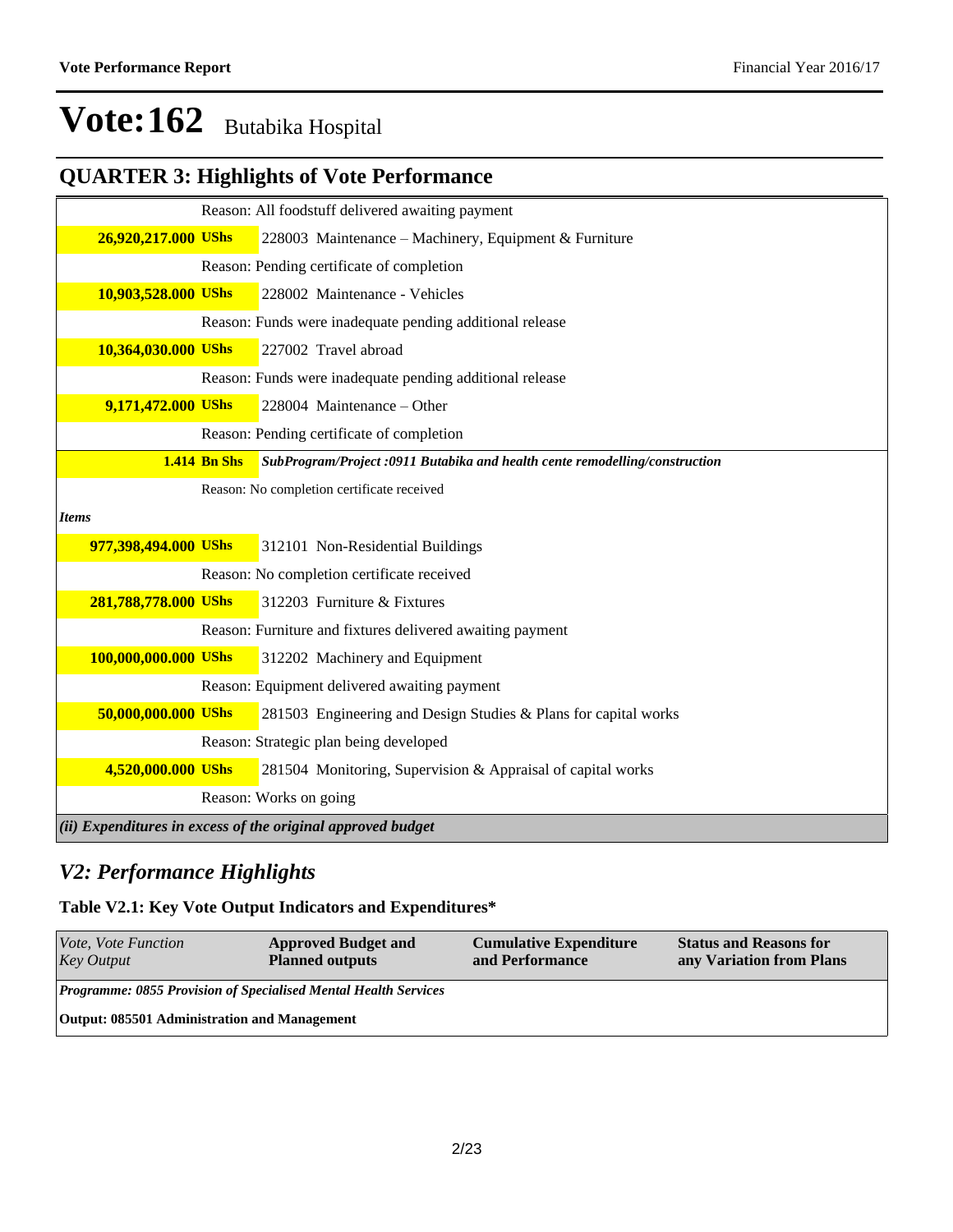## **QUARTER 3: Highlights of Vote Performance**

|                      |                     | Reason: All foodstuff delivered awaiting payment                            |
|----------------------|---------------------|-----------------------------------------------------------------------------|
| 26,920,217.000 UShs  |                     | 228003 Maintenance – Machinery, Equipment & Furniture                       |
|                      |                     | Reason: Pending certificate of completion                                   |
| 10,903,528.000 UShs  |                     | 228002 Maintenance - Vehicles                                               |
|                      |                     | Reason: Funds were inadequate pending additional release                    |
| 10,364,030.000 UShs  |                     | 227002 Travel abroad                                                        |
|                      |                     | Reason: Funds were inadequate pending additional release                    |
| 9,171,472.000 UShs   |                     | 228004 Maintenance - Other                                                  |
|                      |                     | Reason: Pending certificate of completion                                   |
|                      | <b>1.414 Bn Shs</b> | SubProgram/Project :0911 Butabika and health cente remodelling/construction |
|                      |                     | Reason: No completion certificate received                                  |
| Items                |                     |                                                                             |
| 977,398,494.000 UShs |                     | 312101 Non-Residential Buildings                                            |
|                      |                     | Reason: No completion certificate received                                  |
| 281,788,778.000 UShs |                     | 312203 Furniture & Fixtures                                                 |
|                      |                     | Reason: Furniture and fixtures delivered awaiting payment                   |
| 100,000,000.000 UShs |                     | 312202 Machinery and Equipment                                              |
|                      |                     | Reason: Equipment delivered awaiting payment                                |
| 50,000,000.000 UShs  |                     | 281503 Engineering and Design Studies & Plans for capital works             |
|                      |                     | Reason: Strategic plan being developed                                      |
| 4,520,000.000 UShs   |                     | 281504 Monitoring, Supervision & Appraisal of capital works                 |
|                      |                     | Reason: Works on going                                                      |
|                      |                     | $(iii)$ Expenditures in excess of the original approved budget              |

### *V2: Performance Highlights*

### **Table V2.1: Key Vote Output Indicators and Expenditures\***

| Vote, Vote Function<br><b>Key Output</b>                               | <b>Approved Budget and</b><br><b>Planned outputs</b> | <b>Cumulative Expenditure</b><br>and Performance | <b>Status and Reasons for</b><br>any Variation from Plans |
|------------------------------------------------------------------------|------------------------------------------------------|--------------------------------------------------|-----------------------------------------------------------|
| <b>Programme: 0855 Provision of Specialised Mental Health Services</b> |                                                      |                                                  |                                                           |
| Output: 085501 Administration and Management                           |                                                      |                                                  |                                                           |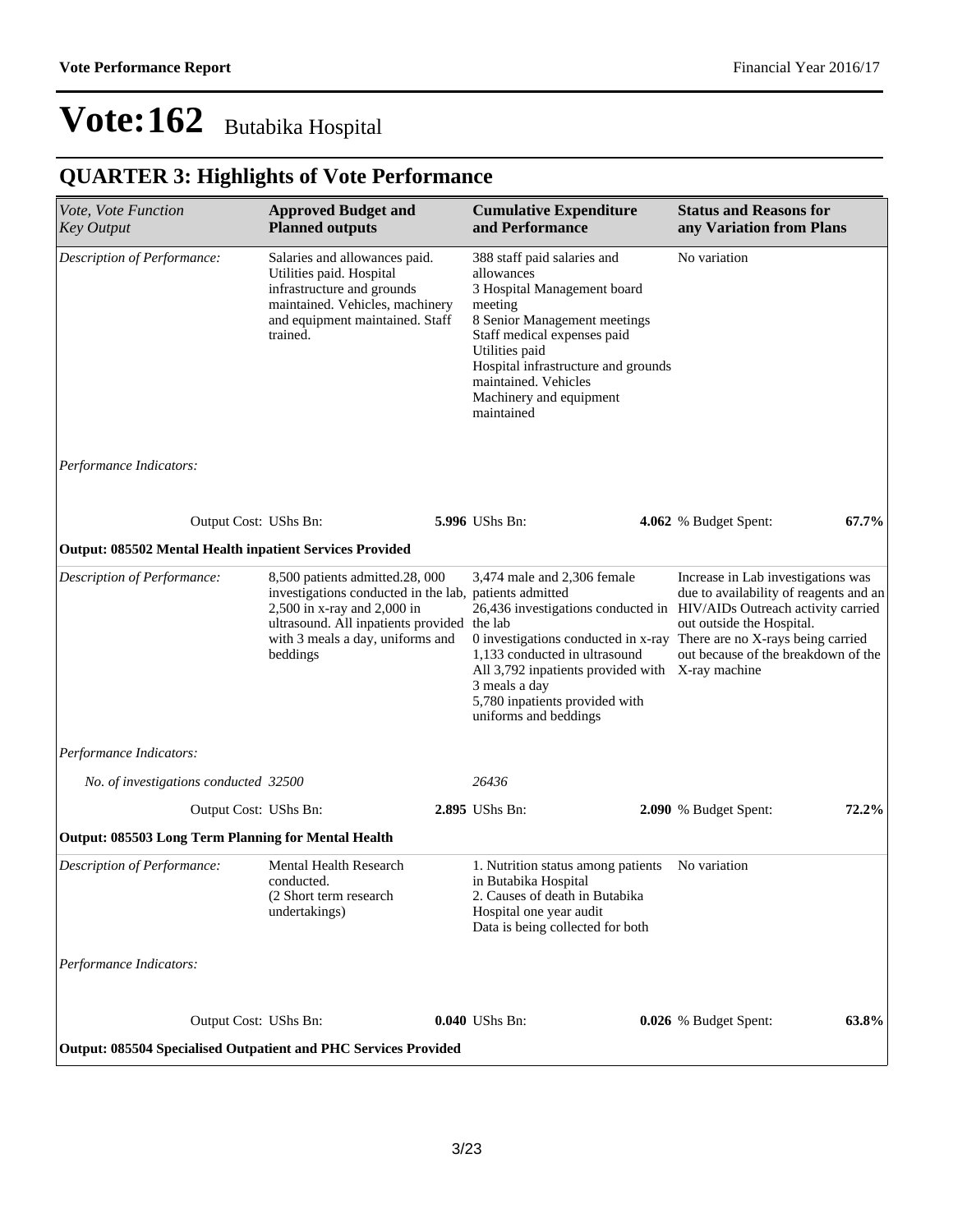## **QUARTER 3: Highlights of Vote Performance**

| Vote, Vote Function<br><b>Key Output</b>                        | <b>Approved Budget and</b><br><b>Planned outputs</b>                                                                                                                                                                    | <b>Cumulative Expenditure</b><br>and Performance                                                                                                                                                                                                                             | <b>Status and Reasons for</b><br>any Variation from Plans                                                                                                                                                                                                                                          |
|-----------------------------------------------------------------|-------------------------------------------------------------------------------------------------------------------------------------------------------------------------------------------------------------------------|------------------------------------------------------------------------------------------------------------------------------------------------------------------------------------------------------------------------------------------------------------------------------|----------------------------------------------------------------------------------------------------------------------------------------------------------------------------------------------------------------------------------------------------------------------------------------------------|
| Description of Performance:                                     | Salaries and allowances paid.<br>Utilities paid. Hospital<br>infrastructure and grounds<br>maintained. Vehicles, machinery<br>and equipment maintained. Staff<br>trained.                                               | 388 staff paid salaries and<br>allowances<br>3 Hospital Management board<br>meeting<br>8 Senior Management meetings<br>Staff medical expenses paid<br>Utilities paid<br>Hospital infrastructure and grounds<br>maintained. Vehicles<br>Machinery and equipment<br>maintained | No variation                                                                                                                                                                                                                                                                                       |
| Performance Indicators:                                         |                                                                                                                                                                                                                         |                                                                                                                                                                                                                                                                              |                                                                                                                                                                                                                                                                                                    |
| Output Cost: UShs Bn:                                           |                                                                                                                                                                                                                         | 5.996 UShs Bn:                                                                                                                                                                                                                                                               | 67.7%<br>4.062 % Budget Spent:                                                                                                                                                                                                                                                                     |
| <b>Output: 085502 Mental Health inpatient Services Provided</b> |                                                                                                                                                                                                                         |                                                                                                                                                                                                                                                                              |                                                                                                                                                                                                                                                                                                    |
| Description of Performance:                                     | 8,500 patients admitted.28, 000<br>investigations conducted in the lab, patients admitted<br>2,500 in x-ray and 2,000 in<br>ultrasound. All inpatients provided the lab<br>with 3 meals a day, uniforms and<br>beddings | 3,474 male and 2,306 female<br>1,133 conducted in ultrasound<br>All 3,792 inpatients provided with X-ray machine<br>3 meals a day<br>5,780 inpatients provided with<br>uniforms and beddings                                                                                 | Increase in Lab investigations was<br>due to availability of reagents and an<br>26,436 investigations conducted in HIV/AIDs Outreach activity carried<br>out outside the Hospital.<br>0 investigations conducted in x-ray There are no X-rays being carried<br>out because of the breakdown of the |
| Performance Indicators:                                         |                                                                                                                                                                                                                         |                                                                                                                                                                                                                                                                              |                                                                                                                                                                                                                                                                                                    |
| No. of investigations conducted 32500                           |                                                                                                                                                                                                                         | 26436                                                                                                                                                                                                                                                                        |                                                                                                                                                                                                                                                                                                    |
| Output Cost: UShs Bn:                                           |                                                                                                                                                                                                                         | 2.895 UShs Bn:                                                                                                                                                                                                                                                               | 72.2%<br>2.090 % Budget Spent:                                                                                                                                                                                                                                                                     |
| <b>Output: 085503 Long Term Planning for Mental Health</b>      |                                                                                                                                                                                                                         |                                                                                                                                                                                                                                                                              |                                                                                                                                                                                                                                                                                                    |
| Description of Performance:                                     | Mental Health Research<br>conducted.<br>(2 Short term research<br>undertakings)                                                                                                                                         | 1. Nutrition status among patients<br>in Butabika Hospital<br>2. Causes of death in Butabika<br>Hospital one year audit<br>Data is being collected for both                                                                                                                  | No variation                                                                                                                                                                                                                                                                                       |
| Performance Indicators:                                         |                                                                                                                                                                                                                         |                                                                                                                                                                                                                                                                              |                                                                                                                                                                                                                                                                                                    |
| Output Cost: UShs Bn:                                           |                                                                                                                                                                                                                         | 0.040 UShs Bn:                                                                                                                                                                                                                                                               | 0.026 % Budget Spent:<br>63.8%                                                                                                                                                                                                                                                                     |
| Output: 085504 Specialised Outpatient and PHC Services Provided |                                                                                                                                                                                                                         |                                                                                                                                                                                                                                                                              |                                                                                                                                                                                                                                                                                                    |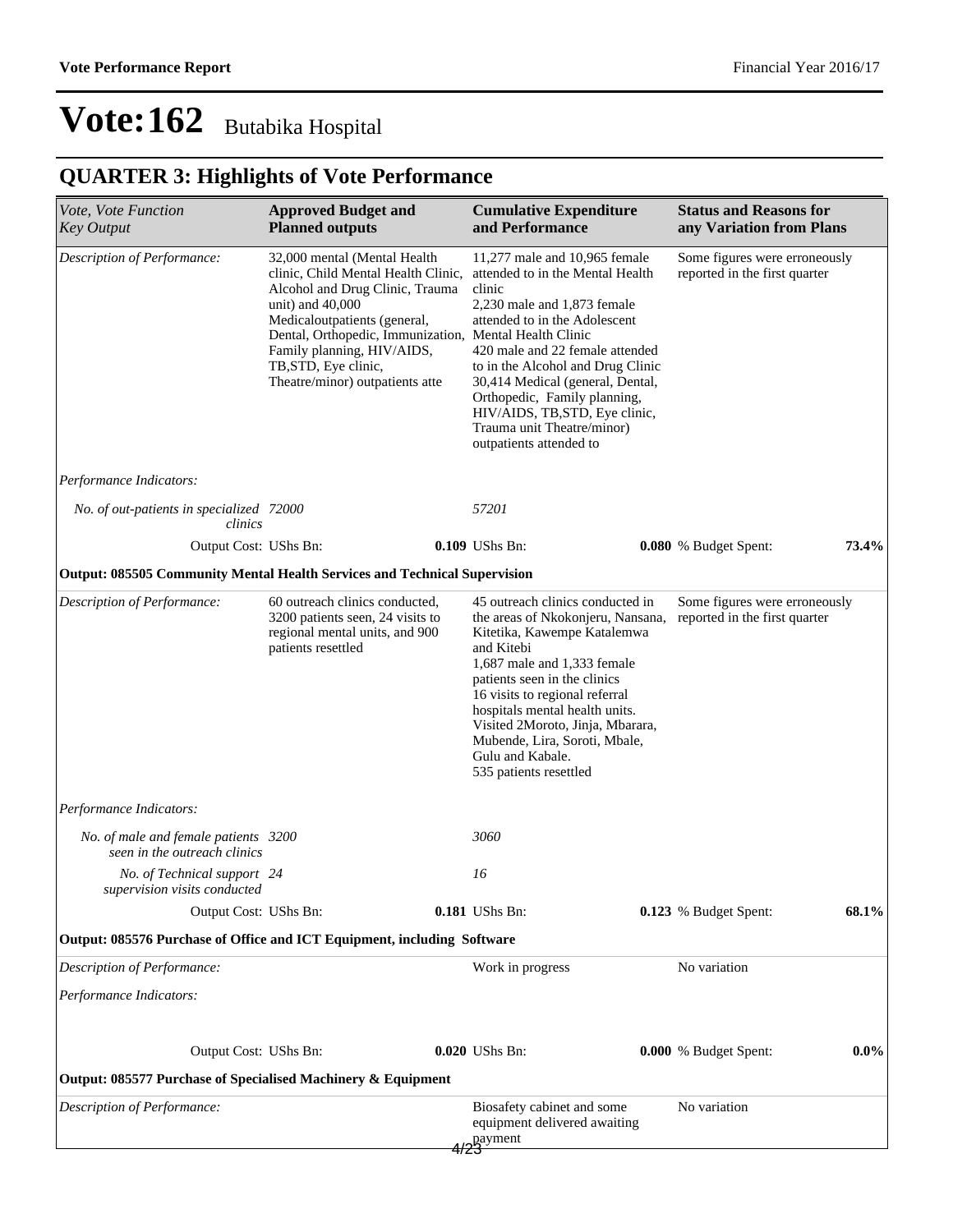## **QUARTER 3: Highlights of Vote Performance**

| Vote, Vote Function<br><b>Key Output</b>                                  | <b>Approved Budget and</b><br><b>Planned outputs</b>                                                                                                                                                                                                                                       | <b>Cumulative Expenditure</b><br>and Performance                                                                                                                                                                                                                                                                                                                                                           |  | <b>Status and Reasons for</b><br>any Variation from Plans      |         |
|---------------------------------------------------------------------------|--------------------------------------------------------------------------------------------------------------------------------------------------------------------------------------------------------------------------------------------------------------------------------------------|------------------------------------------------------------------------------------------------------------------------------------------------------------------------------------------------------------------------------------------------------------------------------------------------------------------------------------------------------------------------------------------------------------|--|----------------------------------------------------------------|---------|
| Description of Performance:                                               | 32,000 mental (Mental Health<br>clinic, Child Mental Health Clinic,<br>Alcohol and Drug Clinic, Trauma<br>unit) and $40,000$<br>Medicaloutpatients (general,<br>Dental, Orthopedic, Immunization,<br>Family planning, HIV/AIDS,<br>TB, STD, Eye clinic,<br>Theatre/minor) outpatients atte | 11,277 male and 10,965 female<br>attended to in the Mental Health<br>clinic<br>2,230 male and 1,873 female<br>attended to in the Adolescent<br>Mental Health Clinic<br>420 male and 22 female attended<br>to in the Alcohol and Drug Clinic<br>30,414 Medical (general, Dental,<br>Orthopedic, Family planning,<br>HIV/AIDS, TB, STD, Eye clinic,<br>Trauma unit Theatre/minor)<br>outpatients attended to |  | Some figures were erroneously<br>reported in the first quarter |         |
| Performance Indicators:                                                   |                                                                                                                                                                                                                                                                                            |                                                                                                                                                                                                                                                                                                                                                                                                            |  |                                                                |         |
| No. of out-patients in specialized 72000<br>clinics                       |                                                                                                                                                                                                                                                                                            | 57201                                                                                                                                                                                                                                                                                                                                                                                                      |  |                                                                |         |
| Output Cost: UShs Bn:                                                     |                                                                                                                                                                                                                                                                                            | 0.109 UShs Bn:                                                                                                                                                                                                                                                                                                                                                                                             |  | 0.080 % Budget Spent:                                          | 73.4%   |
| Output: 085505 Community Mental Health Services and Technical Supervision |                                                                                                                                                                                                                                                                                            |                                                                                                                                                                                                                                                                                                                                                                                                            |  |                                                                |         |
| Description of Performance:                                               | 60 outreach clinics conducted,<br>3200 patients seen, 24 visits to<br>regional mental units, and 900<br>patients resettled                                                                                                                                                                 | 45 outreach clinics conducted in<br>the areas of Nkokonjeru, Nansana,<br>Kitetika, Kawempe Katalemwa<br>and Kitebi<br>1,687 male and 1,333 female<br>patients seen in the clinics<br>16 visits to regional referral<br>hospitals mental health units.<br>Visited 2Moroto, Jinja, Mbarara,<br>Mubende, Lira, Soroti, Mbale,<br>Gulu and Kabale.<br>535 patients resettled                                   |  | Some figures were erroneously<br>reported in the first quarter |         |
| Performance Indicators:                                                   |                                                                                                                                                                                                                                                                                            |                                                                                                                                                                                                                                                                                                                                                                                                            |  |                                                                |         |
| No. of male and female patients 3200<br>seen in the outreach clinics      |                                                                                                                                                                                                                                                                                            | 3060                                                                                                                                                                                                                                                                                                                                                                                                       |  |                                                                |         |
| No. of Technical support 24<br>supervision visits conducted               |                                                                                                                                                                                                                                                                                            | 16                                                                                                                                                                                                                                                                                                                                                                                                         |  |                                                                |         |
| Output Cost: UShs Bn:                                                     |                                                                                                                                                                                                                                                                                            | <b>0.181</b> UShs Bn:                                                                                                                                                                                                                                                                                                                                                                                      |  | 0.123 % Budget Spent:                                          | 68.1%   |
| Output: 085576 Purchase of Office and ICT Equipment, including Software   |                                                                                                                                                                                                                                                                                            |                                                                                                                                                                                                                                                                                                                                                                                                            |  |                                                                |         |
| Description of Performance:                                               |                                                                                                                                                                                                                                                                                            | Work in progress                                                                                                                                                                                                                                                                                                                                                                                           |  | No variation                                                   |         |
| Performance Indicators:                                                   |                                                                                                                                                                                                                                                                                            |                                                                                                                                                                                                                                                                                                                                                                                                            |  |                                                                |         |
| Output Cost: UShs Bn:                                                     |                                                                                                                                                                                                                                                                                            | 0.020 UShs Bn:                                                                                                                                                                                                                                                                                                                                                                                             |  | 0.000 % Budget Spent:                                          | $0.0\%$ |
| Output: 085577 Purchase of Specialised Machinery & Equipment              |                                                                                                                                                                                                                                                                                            |                                                                                                                                                                                                                                                                                                                                                                                                            |  |                                                                |         |
| Description of Performance:                                               |                                                                                                                                                                                                                                                                                            | Biosafety cabinet and some<br>equipment delivered awaiting<br>payment                                                                                                                                                                                                                                                                                                                                      |  | No variation                                                   |         |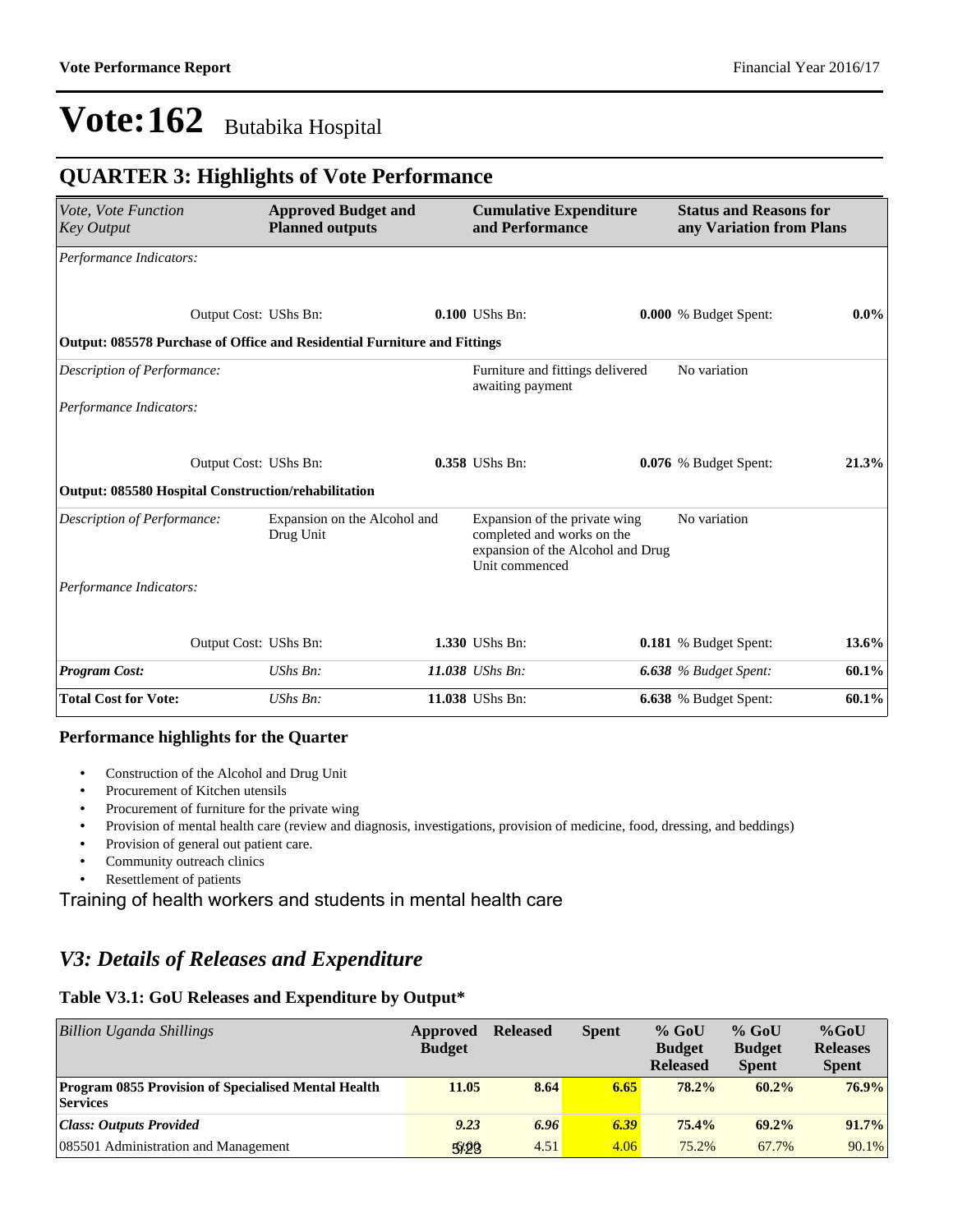### **QUARTER 3: Highlights of Vote Performance**

| Vote, Vote Function<br><b>Key Output</b>                                 | <b>Approved Budget and</b><br><b>Planned outputs</b> |  | <b>Cumulative Expenditure</b><br>and Performance                                                                   | <b>Status and Reasons for</b><br>any Variation from Plans |         |
|--------------------------------------------------------------------------|------------------------------------------------------|--|--------------------------------------------------------------------------------------------------------------------|-----------------------------------------------------------|---------|
| Performance Indicators:                                                  |                                                      |  |                                                                                                                    |                                                           |         |
|                                                                          |                                                      |  |                                                                                                                    |                                                           |         |
| Output Cost: UShs Bn:                                                    |                                                      |  | 0.100 UShs Bn:                                                                                                     | 0.000 % Budget Spent:                                     | $0.0\%$ |
| Output: 085578 Purchase of Office and Residential Furniture and Fittings |                                                      |  |                                                                                                                    |                                                           |         |
| Description of Performance:                                              |                                                      |  | Furniture and fittings delivered<br>awaiting payment                                                               | No variation                                              |         |
| Performance Indicators:                                                  |                                                      |  |                                                                                                                    |                                                           |         |
|                                                                          |                                                      |  |                                                                                                                    |                                                           |         |
| Output Cost: UShs Bn:                                                    |                                                      |  | 0.358 UShs Bn:                                                                                                     | 0.076 % Budget Spent:                                     | 21.3%   |
| <b>Output: 085580 Hospital Construction/rehabilitation</b>               |                                                      |  |                                                                                                                    |                                                           |         |
| Description of Performance:                                              | Expansion on the Alcohol and<br>Drug Unit            |  | Expansion of the private wing<br>completed and works on the<br>expansion of the Alcohol and Drug<br>Unit commenced | No variation                                              |         |
| Performance Indicators:                                                  |                                                      |  |                                                                                                                    |                                                           |         |
|                                                                          |                                                      |  |                                                                                                                    |                                                           |         |
| Output Cost: UShs Bn:                                                    |                                                      |  | 1.330 UShs Bn:                                                                                                     | 0.181 % Budget Spent:                                     | 13.6%   |
| <b>Program Cost:</b>                                                     | $UShs Bn$ :                                          |  | 11.038 UShs Bn:                                                                                                    | <b>6.638</b> % Budget Spent:                              | 60.1%   |
| <b>Total Cost for Vote:</b>                                              | UShs Bn:                                             |  | 11.038 UShs Bn:                                                                                                    | <b>6.638</b> % Budget Spent:                              | 60.1%   |

#### **Performance highlights for the Quarter**

- Construction of the Alcohol and Drug Unit
- Procurement of Kitchen utensils
- Procurement of furniture for the private wing
- Provision of mental health care (review and diagnosis, investigations, provision of medicine, food, dressing, and beddings)
- Provision of general out patient care.
- Community outreach clinics
- Resettlement of patients

#### Training of health workers and students in mental health care

### *V3: Details of Releases and Expenditure*

#### **Table V3.1: GoU Releases and Expenditure by Output\***

| <b>Billion Uganda Shillings</b>                                               | Approved<br><b>Budget</b> | <b>Released</b> | <b>Spent</b> | $%$ GoU<br><b>Budget</b><br><b>Released</b> | $%$ GoU<br><b>Budget</b><br><b>Spent</b> | $%$ GoU<br><b>Releases</b><br><b>Spent</b> |
|-------------------------------------------------------------------------------|---------------------------|-----------------|--------------|---------------------------------------------|------------------------------------------|--------------------------------------------|
| <b>Program 0855 Provision of Specialised Mental Health</b><br><b>Services</b> | 11.05                     | 8.64            | 6.65         | 78.2%                                       | $60.2\%$                                 | 76.9%                                      |
| <b>Class: Outputs Provided</b>                                                | 9.23                      | 6.96            | 6.39         | 75.4%                                       | $69.2\%$                                 | 91.7%                                      |
| 085501 Administration and Management                                          | 5/20                      | 4.51            | 4.06         | 75.2%                                       | 67.7%                                    | 90.1%                                      |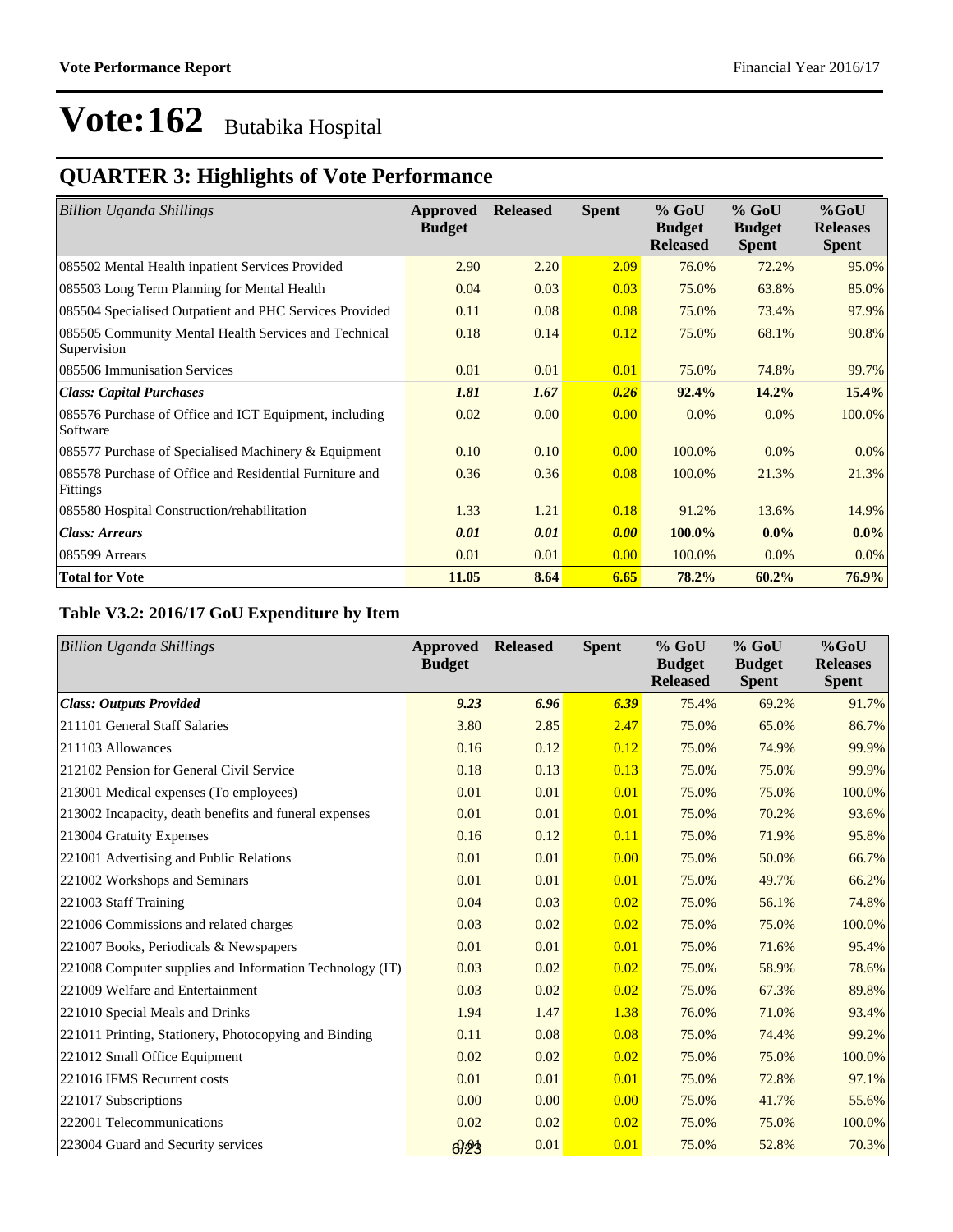## **QUARTER 3: Highlights of Vote Performance**

| <b>Billion Uganda Shillings</b>                                            | Approved<br><b>Budget</b> | <b>Released</b> | <b>Spent</b> | $%$ GoU<br><b>Budget</b><br><b>Released</b> | $%$ GoU<br><b>Budget</b><br><b>Spent</b> | $%$ GoU<br><b>Releases</b><br><b>Spent</b> |
|----------------------------------------------------------------------------|---------------------------|-----------------|--------------|---------------------------------------------|------------------------------------------|--------------------------------------------|
| 085502 Mental Health inpatient Services Provided                           | 2.90                      | 2.20            | 2.09         | 76.0%                                       | 72.2%                                    | 95.0%                                      |
| 085503 Long Term Planning for Mental Health                                | 0.04                      | 0.03            | 0.03         | 75.0%                                       | 63.8%                                    | 85.0%                                      |
| 085504 Specialised Outpatient and PHC Services Provided                    | 0.11                      | 0.08            | 0.08         | 75.0%                                       | 73.4%                                    | 97.9%                                      |
| 085505 Community Mental Health Services and Technical<br>Supervision       | 0.18                      | 0.14            | 0.12         | 75.0%                                       | 68.1%                                    | 90.8%                                      |
| 085506 Immunisation Services                                               | 0.01                      | 0.01            | 0.01         | 75.0%                                       | 74.8%                                    | 99.7%                                      |
| <b>Class: Capital Purchases</b>                                            | 1.81                      | 1.67            | 0.26         | 92.4%                                       | 14.2%                                    | 15.4%                                      |
| 085576 Purchase of Office and ICT Equipment, including<br>Software         | 0.02                      | 0.00            | 0.00         | $0.0\%$                                     | $0.0\%$                                  | 100.0%                                     |
| 085577 Purchase of Specialised Machinery & Equipment                       | 0.10                      | 0.10            | 0.00         | 100.0%                                      | $0.0\%$                                  | $0.0\%$                                    |
| 085578 Purchase of Office and Residential Furniture and<br><b>Fittings</b> | 0.36                      | 0.36            | 0.08         | 100.0%                                      | 21.3%                                    | 21.3%                                      |
| 085580 Hospital Construction/rehabilitation                                | 1.33                      | 1.21            | 0.18         | 91.2%                                       | 13.6%                                    | 14.9%                                      |
| <b>Class: Arrears</b>                                                      | 0.01                      | 0.01            | 0.00         | 100.0%                                      | $0.0\%$                                  | $0.0\%$                                    |
| 085599 Arrears                                                             | 0.01                      | 0.01            | 0.00         | 100.0%                                      | $0.0\%$                                  | $0.0\%$                                    |
| <b>Total for Vote</b>                                                      | 11.05                     | 8.64            | 6.65         | 78.2%                                       | 60.2%                                    | 76.9%                                      |

### **Table V3.2: 2016/17 GoU Expenditure by Item**

| <b>Billion Uganda Shillings</b>                          | Approved<br><b>Budget</b> | <b>Released</b> | <b>Spent</b> | $%$ GoU<br><b>Budget</b><br><b>Released</b> | $%$ GoU<br><b>Budget</b><br><b>Spent</b> | %GoU<br><b>Releases</b><br><b>Spent</b> |
|----------------------------------------------------------|---------------------------|-----------------|--------------|---------------------------------------------|------------------------------------------|-----------------------------------------|
| <b>Class: Outputs Provided</b>                           | 9.23                      | 6.96            | 6.39         | 75.4%                                       | 69.2%                                    | 91.7%                                   |
| 211101 General Staff Salaries                            | 3.80                      | 2.85            | 2.47         | 75.0%                                       | 65.0%                                    | 86.7%                                   |
| 211103 Allowances                                        | 0.16                      | 0.12            | 0.12         | 75.0%                                       | 74.9%                                    | 99.9%                                   |
| 212102 Pension for General Civil Service                 | 0.18                      | 0.13            | 0.13         | 75.0%                                       | 75.0%                                    | 99.9%                                   |
| 213001 Medical expenses (To employees)                   | 0.01                      | 0.01            | 0.01         | 75.0%                                       | 75.0%                                    | 100.0%                                  |
| 213002 Incapacity, death benefits and funeral expenses   | 0.01                      | 0.01            | 0.01         | 75.0%                                       | 70.2%                                    | 93.6%                                   |
| 213004 Gratuity Expenses                                 | 0.16                      | 0.12            | 0.11         | 75.0%                                       | 71.9%                                    | 95.8%                                   |
| 221001 Advertising and Public Relations                  | 0.01                      | 0.01            | 0.00         | 75.0%                                       | 50.0%                                    | 66.7%                                   |
| 221002 Workshops and Seminars                            | 0.01                      | 0.01            | 0.01         | 75.0%                                       | 49.7%                                    | 66.2%                                   |
| 221003 Staff Training                                    | 0.04                      | 0.03            | 0.02         | 75.0%                                       | 56.1%                                    | 74.8%                                   |
| 221006 Commissions and related charges                   | 0.03                      | 0.02            | 0.02         | 75.0%                                       | 75.0%                                    | 100.0%                                  |
| 221007 Books, Periodicals & Newspapers                   | 0.01                      | 0.01            | 0.01         | 75.0%                                       | 71.6%                                    | 95.4%                                   |
| 221008 Computer supplies and Information Technology (IT) | 0.03                      | 0.02            | 0.02         | 75.0%                                       | 58.9%                                    | 78.6%                                   |
| 221009 Welfare and Entertainment                         | 0.03                      | 0.02            | 0.02         | 75.0%                                       | 67.3%                                    | 89.8%                                   |
| 221010 Special Meals and Drinks                          | 1.94                      | 1.47            | 1.38         | 76.0%                                       | 71.0%                                    | 93.4%                                   |
| 221011 Printing, Stationery, Photocopying and Binding    | 0.11                      | 0.08            | 0.08         | 75.0%                                       | 74.4%                                    | 99.2%                                   |
| 221012 Small Office Equipment                            | 0.02                      | 0.02            | 0.02         | 75.0%                                       | 75.0%                                    | 100.0%                                  |
| 221016 IFMS Recurrent costs                              | 0.01                      | 0.01            | 0.01         | 75.0%                                       | 72.8%                                    | 97.1%                                   |
| 221017 Subscriptions                                     | 0.00                      | 0.00            | 0.00         | 75.0%                                       | 41.7%                                    | 55.6%                                   |
| 222001 Telecommunications                                | 0.02                      | 0.02            | 0.02         | 75.0%                                       | 75.0%                                    | 100.0%                                  |
| 223004 Guard and Security services                       | 6/23                      | 0.01            | 0.01         | 75.0%                                       | 52.8%                                    | 70.3%                                   |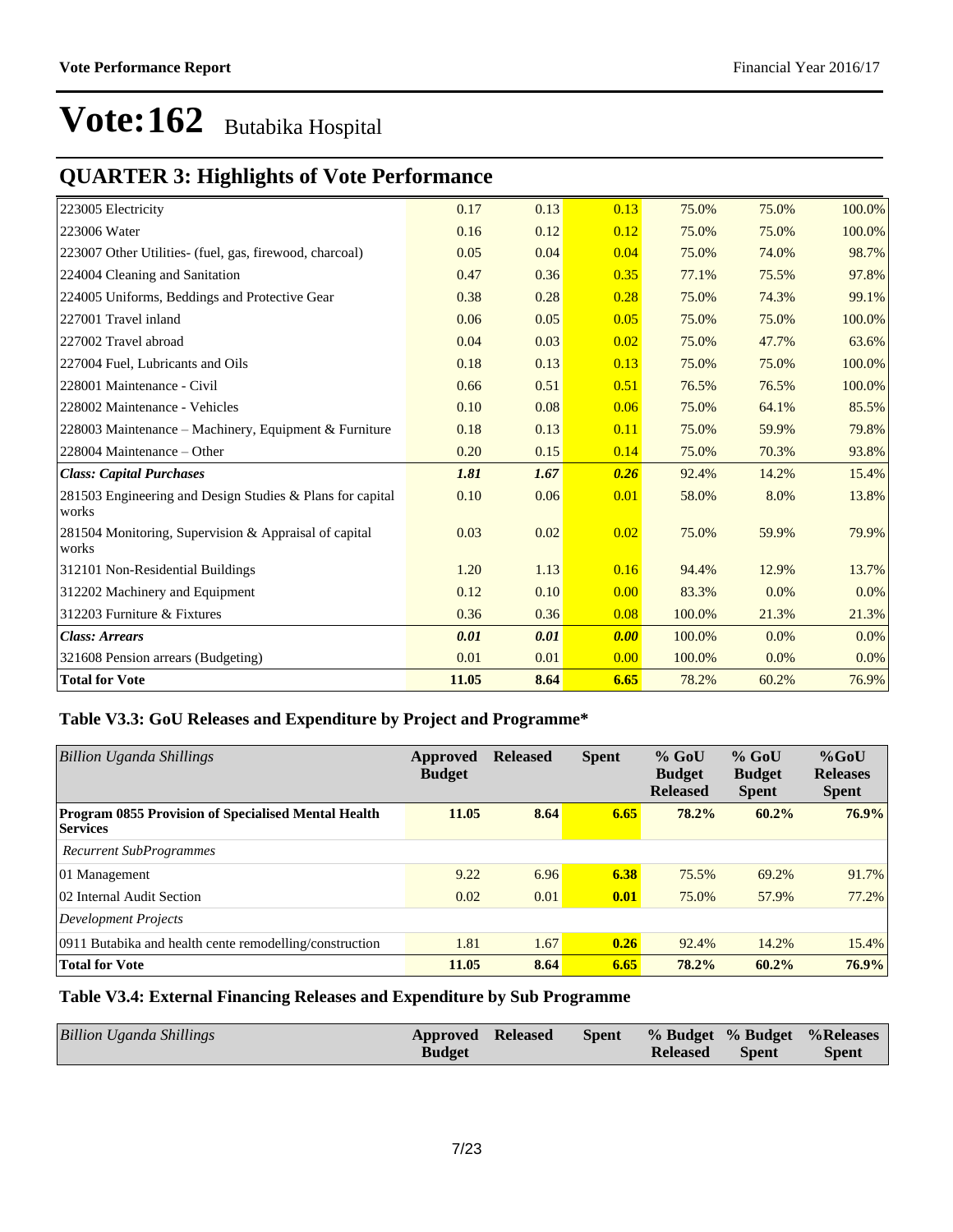### **QUARTER 3: Highlights of Vote Performance**

| 223005 Electricity                                                 | 0.17  | 0.13 | 0.13 | 75.0%  | 75.0% | 100.0% |
|--------------------------------------------------------------------|-------|------|------|--------|-------|--------|
| 223006 Water                                                       | 0.16  | 0.12 | 0.12 | 75.0%  | 75.0% | 100.0% |
| 223007 Other Utilities- (fuel, gas, firewood, charcoal)            | 0.05  | 0.04 | 0.04 | 75.0%  | 74.0% | 98.7%  |
| 224004 Cleaning and Sanitation                                     | 0.47  | 0.36 | 0.35 | 77.1%  | 75.5% | 97.8%  |
| 224005 Uniforms, Beddings and Protective Gear                      | 0.38  | 0.28 | 0.28 | 75.0%  | 74.3% | 99.1%  |
| 227001 Travel inland                                               | 0.06  | 0.05 | 0.05 | 75.0%  | 75.0% | 100.0% |
| 227002 Travel abroad                                               | 0.04  | 0.03 | 0.02 | 75.0%  | 47.7% | 63.6%  |
| 227004 Fuel, Lubricants and Oils                                   | 0.18  | 0.13 | 0.13 | 75.0%  | 75.0% | 100.0% |
| 228001 Maintenance - Civil                                         | 0.66  | 0.51 | 0.51 | 76.5%  | 76.5% | 100.0% |
| 228002 Maintenance - Vehicles                                      | 0.10  | 0.08 | 0.06 | 75.0%  | 64.1% | 85.5%  |
| 228003 Maintenance - Machinery, Equipment & Furniture              | 0.18  | 0.13 | 0.11 | 75.0%  | 59.9% | 79.8%  |
| 228004 Maintenance – Other                                         | 0.20  | 0.15 | 0.14 | 75.0%  | 70.3% | 93.8%  |
| <b>Class: Capital Purchases</b>                                    | 1.81  | 1.67 | 0.26 | 92.4%  | 14.2% | 15.4%  |
| 281503 Engineering and Design Studies & Plans for capital<br>works | 0.10  | 0.06 | 0.01 | 58.0%  | 8.0%  | 13.8%  |
| 281504 Monitoring, Supervision & Appraisal of capital<br>works     | 0.03  | 0.02 | 0.02 | 75.0%  | 59.9% | 79.9%  |
| 312101 Non-Residential Buildings                                   | 1.20  | 1.13 | 0.16 | 94.4%  | 12.9% | 13.7%  |
| 312202 Machinery and Equipment                                     | 0.12  | 0.10 | 0.00 | 83.3%  | 0.0%  | 0.0%   |
| 312203 Furniture & Fixtures                                        | 0.36  | 0.36 | 0.08 | 100.0% | 21.3% | 21.3%  |
| <b>Class: Arrears</b>                                              | 0.01  | 0.01 | 0.00 | 100.0% | 0.0%  | 0.0%   |
| 321608 Pension arrears (Budgeting)                                 | 0.01  | 0.01 | 0.00 | 100.0% | 0.0%  | 0.0%   |
| <b>Total for Vote</b>                                              | 11.05 | 8.64 | 6.65 | 78.2%  | 60.2% | 76.9%  |

### **Table V3.3: GoU Releases and Expenditure by Project and Programme\***

| <b>Billion Uganda Shillings</b>                                        | Approved<br><b>Budget</b> | <b>Released</b> | <b>Spent</b> | $%$ GoU<br><b>Budget</b><br><b>Released</b> | $%$ GoU<br><b>Budget</b><br><b>Spent</b> | $%$ GoU<br><b>Releases</b><br><b>Spent</b> |
|------------------------------------------------------------------------|---------------------------|-----------------|--------------|---------------------------------------------|------------------------------------------|--------------------------------------------|
| Program 0855 Provision of Specialised Mental Health<br><b>Services</b> | 11.05                     | 8.64            | 6.65         | 78.2%                                       | $60.2\%$                                 | 76.9%                                      |
| Recurrent SubProgrammes                                                |                           |                 |              |                                             |                                          |                                            |
| 01 Management                                                          | 9.22                      | 6.96            | 6.38         | 75.5%                                       | 69.2%                                    | 91.7%                                      |
| 02 Internal Audit Section                                              | 0.02                      | 0.01            | 0.01         | 75.0%                                       | 57.9%                                    | 77.2%                                      |
| Development Projects                                                   |                           |                 |              |                                             |                                          |                                            |
| 0911 Butabika and health cente remodelling/construction                | 1.81                      | 1.67            | 0.26         | 92.4%                                       | 14.2%                                    | 15.4%                                      |
| <b>Total for Vote</b>                                                  | 11.05                     | 8.64            | 6.65         | 78.2%                                       | 60.2%                                    | 76.9%                                      |

### **Table V3.4: External Financing Releases and Expenditure by Sub Programme**

| Billion Uganda Shillings | <b>Approved Released</b> |  |                 |              | Spent % Budget % Budget % Releases |
|--------------------------|--------------------------|--|-----------------|--------------|------------------------------------|
|                          | <b>Budget</b>            |  | <b>Released</b> | <b>Spent</b> | <b>Spent</b>                       |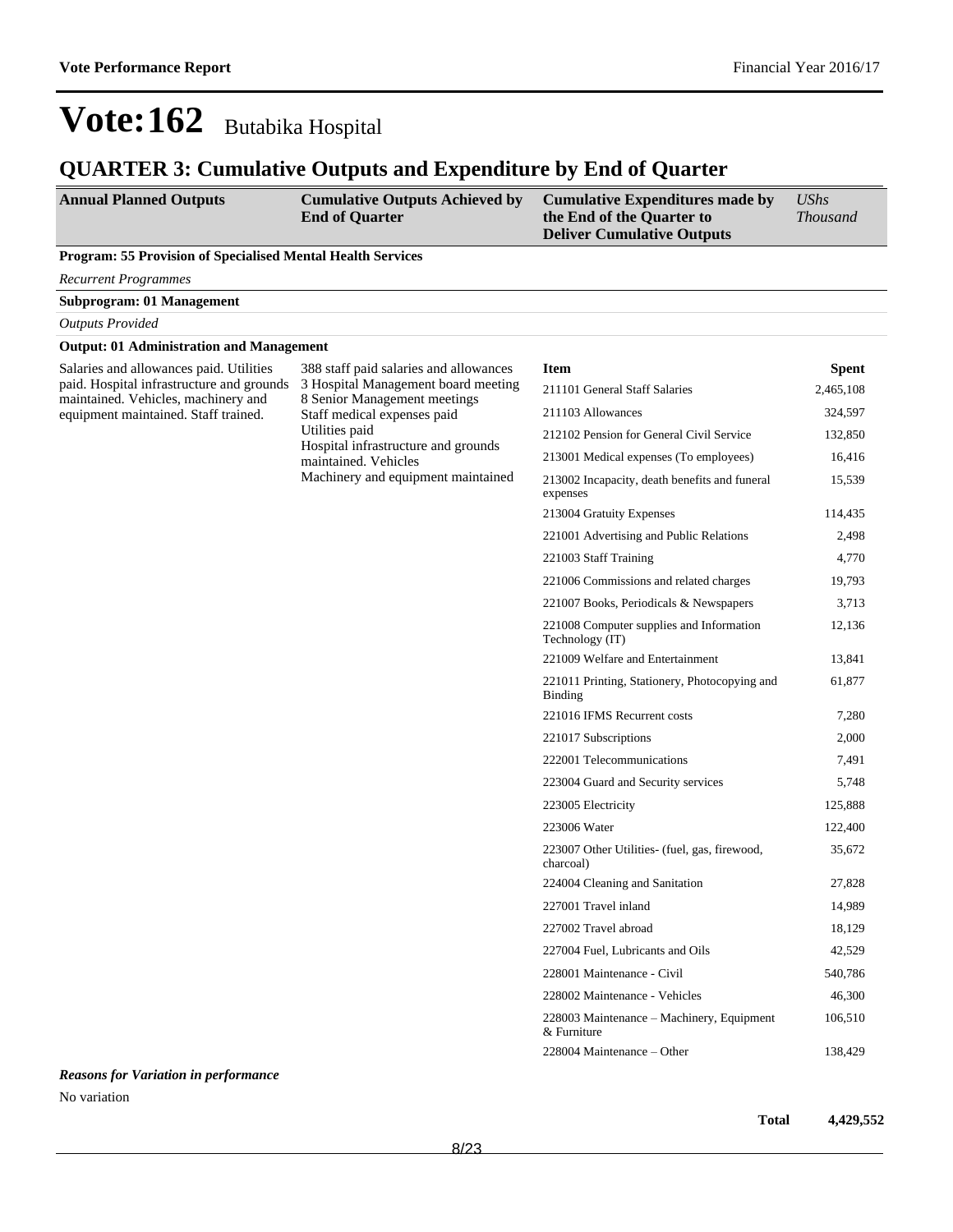### **QUARTER 3: Cumulative Outputs and Expenditure by End of Quarter**

| <b>Annual Planned Outputs</b> | <b>Cumulative Outputs Achieved by</b> | <b>Cumulative Expenditures made by</b> | UShs            |
|-------------------------------|---------------------------------------|----------------------------------------|-----------------|
|                               | <b>End of Ouarter</b>                 | the End of the Ouarter to              | <i>Thousand</i> |
|                               |                                       | <b>Deliver Cumulative Outputs</b>      |                 |

#### **Program: 55 Provision of Specialised Mental Health Services**

*Recurrent Programmes*

**Subprogram: 01 Management**

*Outputs Provided*

#### **Output: 01 Administration and Management**

Salaries and allowances paid. Utilities paid. Hospital infrastructure and grounds maintained. Vehicles, machinery and equipment maintained. Staff trained.

388 staff paid salaries and allowances 3 Hospital Management board meeting 8 Senior Management meetings Staff medical expenses paid Utilities paid Hospital infrastructure and grounds maintained. Vehicles Machinery and equipment maintained

| <b>Item</b>                                                 | Spent     |
|-------------------------------------------------------------|-----------|
| 211101 General Staff Salaries                               | 2,465,108 |
| 211103 Allowances                                           | 324,597   |
| 212102 Pension for General Civil Service                    | 132,850   |
| 213001 Medical expenses (To employees)                      | 16,416    |
| 213002 Incapacity, death benefits and funeral<br>expenses   | 15,539    |
| 213004 Gratuity Expenses                                    | 114,435   |
| 221001 Advertising and Public Relations                     | 2,498     |
| 221003 Staff Training                                       | 4,770     |
| 221006 Commissions and related charges                      | 19,793    |
| 221007 Books, Periodicals & Newspapers                      | 3,713     |
| 221008 Computer supplies and Information<br>Technology (IT) | 12,136    |
| 221009 Welfare and Entertainment                            | 13,841    |
| 221011 Printing, Stationery, Photocopying and<br>Binding    | 61,877    |
| 221016 IFMS Recurrent costs                                 | 7,280     |
| 221017 Subscriptions                                        | 2,000     |
| 222001 Telecommunications                                   | 7,491     |
| 223004 Guard and Security services                          | 5,748     |
| 223005 Electricity                                          | 125,888   |
| 223006 Water                                                | 122,400   |
| 223007 Other Utilities- (fuel, gas, firewood,<br>charcoal)  | 35,672    |
| 224004 Cleaning and Sanitation                              | 27,828    |
| 227001 Travel inland                                        | 14,989    |
| 227002 Travel abroad                                        | 18,129    |
| 227004 Fuel, Lubricants and Oils                            | 42,529    |
| 228001 Maintenance - Civil                                  | 540,786   |
| 228002 Maintenance - Vehicles                               | 46,300    |
| 228003 Maintenance - Machinery, Equipment<br>& Furniture    | 106,510   |
| 228004 Maintenance – Other                                  | 138,429   |

*Reasons for Variation in performance*

No variation

**Total 4,429,552**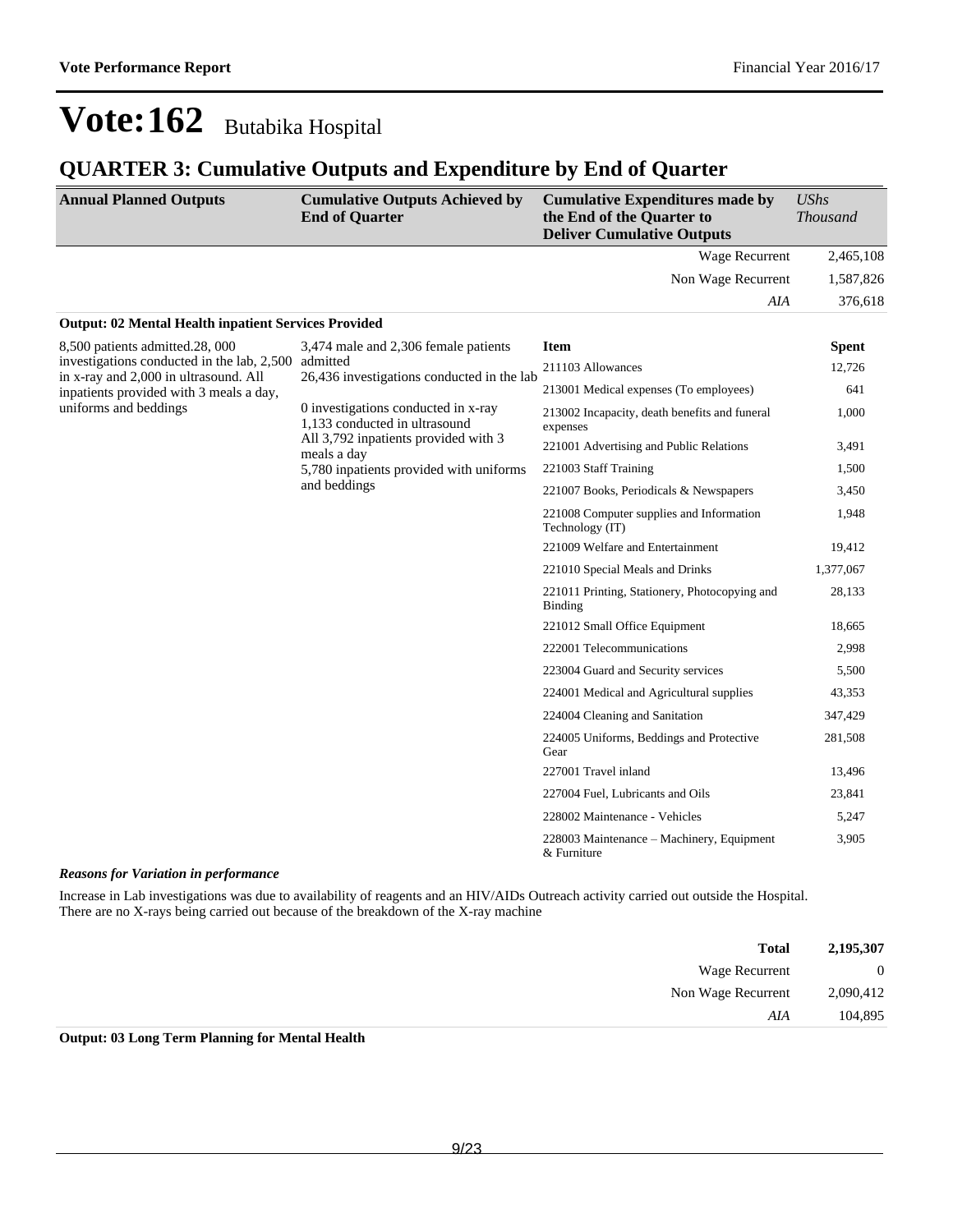### **QUARTER 3: Cumulative Outputs and Expenditure by End of Quarter**

| <b>Annual Planned Outputs</b>                                                       | <b>Cumulative Outputs Achieved by</b><br><b>End of Quarter</b>       | <b>Cumulative Expenditures made by</b><br>the End of the Quarter to<br><b>Deliver Cumulative Outputs</b>                                                                                                                                                                                                                                                                                                                                                                                                                                                                                                                                                                                                                                                                                                                  | <b>UShs</b><br><b>Thousand</b> |
|-------------------------------------------------------------------------------------|----------------------------------------------------------------------|---------------------------------------------------------------------------------------------------------------------------------------------------------------------------------------------------------------------------------------------------------------------------------------------------------------------------------------------------------------------------------------------------------------------------------------------------------------------------------------------------------------------------------------------------------------------------------------------------------------------------------------------------------------------------------------------------------------------------------------------------------------------------------------------------------------------------|--------------------------------|
|                                                                                     |                                                                      | Wage Recurrent                                                                                                                                                                                                                                                                                                                                                                                                                                                                                                                                                                                                                                                                                                                                                                                                            | 2,465,108                      |
|                                                                                     |                                                                      | Non Wage Recurrent                                                                                                                                                                                                                                                                                                                                                                                                                                                                                                                                                                                                                                                                                                                                                                                                        | 1,587,826                      |
|                                                                                     |                                                                      | AIA                                                                                                                                                                                                                                                                                                                                                                                                                                                                                                                                                                                                                                                                                                                                                                                                                       | 376,618                        |
| <b>Output: 02 Mental Health inpatient Services Provided</b>                         |                                                                      |                                                                                                                                                                                                                                                                                                                                                                                                                                                                                                                                                                                                                                                                                                                                                                                                                           |                                |
| 8,500 patients admitted.28, 000                                                     | 3,474 male and 2,306 female patients                                 | <b>Item</b>                                                                                                                                                                                                                                                                                                                                                                                                                                                                                                                                                                                                                                                                                                                                                                                                               | <b>Spent</b>                   |
| investigations conducted in the lab, 2,500<br>in x-ray and 2,000 in ultrasound. All | admitted<br>26,436 investigations conducted in the lab               | 211103 Allowances                                                                                                                                                                                                                                                                                                                                                                                                                                                                                                                                                                                                                                                                                                                                                                                                         | 12,726                         |
| inpatients provided with 3 meals a day,                                             |                                                                      | 213001 Medical expenses (To employees)<br>213002 Incapacity, death benefits and funeral<br>expenses<br>221001 Advertising and Public Relations<br>221003 Staff Training<br>221007 Books, Periodicals & Newspapers<br>221008 Computer supplies and Information<br>Technology (IT)<br>221009 Welfare and Entertainment<br>221010 Special Meals and Drinks<br>221011 Printing, Stationery, Photocopying and<br><b>Binding</b><br>221012 Small Office Equipment<br>222001 Telecommunications<br>223004 Guard and Security services<br>224001 Medical and Agricultural supplies<br>224004 Cleaning and Sanitation<br>224005 Uniforms, Beddings and Protective<br>Gear<br>227001 Travel inland<br>227004 Fuel, Lubricants and Oils<br>228002 Maintenance - Vehicles<br>228003 Maintenance - Machinery, Equipment<br>& Furniture | 641                            |
| uniforms and beddings                                                               | 0 investigations conducted in x-ray<br>1,133 conducted in ultrasound |                                                                                                                                                                                                                                                                                                                                                                                                                                                                                                                                                                                                                                                                                                                                                                                                                           | 1,000                          |
|                                                                                     | All 3,792 inpatients provided with 3<br>meals a day                  | 3,491                                                                                                                                                                                                                                                                                                                                                                                                                                                                                                                                                                                                                                                                                                                                                                                                                     |                                |
| 5,780 inpatients provided with uniforms                                             |                                                                      | 1,500                                                                                                                                                                                                                                                                                                                                                                                                                                                                                                                                                                                                                                                                                                                                                                                                                     |                                |
|                                                                                     | and beddings                                                         |                                                                                                                                                                                                                                                                                                                                                                                                                                                                                                                                                                                                                                                                                                                                                                                                                           | 3,450                          |
|                                                                                     |                                                                      |                                                                                                                                                                                                                                                                                                                                                                                                                                                                                                                                                                                                                                                                                                                                                                                                                           | 1,948                          |
|                                                                                     |                                                                      |                                                                                                                                                                                                                                                                                                                                                                                                                                                                                                                                                                                                                                                                                                                                                                                                                           | 19,412                         |
|                                                                                     |                                                                      |                                                                                                                                                                                                                                                                                                                                                                                                                                                                                                                                                                                                                                                                                                                                                                                                                           | 1,377,067                      |
|                                                                                     |                                                                      |                                                                                                                                                                                                                                                                                                                                                                                                                                                                                                                                                                                                                                                                                                                                                                                                                           | 28,133                         |
|                                                                                     |                                                                      |                                                                                                                                                                                                                                                                                                                                                                                                                                                                                                                                                                                                                                                                                                                                                                                                                           | 18,665                         |
|                                                                                     |                                                                      |                                                                                                                                                                                                                                                                                                                                                                                                                                                                                                                                                                                                                                                                                                                                                                                                                           | 2,998                          |
|                                                                                     |                                                                      |                                                                                                                                                                                                                                                                                                                                                                                                                                                                                                                                                                                                                                                                                                                                                                                                                           | 5,500                          |
|                                                                                     |                                                                      |                                                                                                                                                                                                                                                                                                                                                                                                                                                                                                                                                                                                                                                                                                                                                                                                                           | 43,353                         |
|                                                                                     |                                                                      |                                                                                                                                                                                                                                                                                                                                                                                                                                                                                                                                                                                                                                                                                                                                                                                                                           | 347,429                        |
|                                                                                     |                                                                      |                                                                                                                                                                                                                                                                                                                                                                                                                                                                                                                                                                                                                                                                                                                                                                                                                           | 281,508                        |
|                                                                                     |                                                                      |                                                                                                                                                                                                                                                                                                                                                                                                                                                                                                                                                                                                                                                                                                                                                                                                                           | 13,496                         |
|                                                                                     |                                                                      |                                                                                                                                                                                                                                                                                                                                                                                                                                                                                                                                                                                                                                                                                                                                                                                                                           | 23,841                         |
|                                                                                     |                                                                      |                                                                                                                                                                                                                                                                                                                                                                                                                                                                                                                                                                                                                                                                                                                                                                                                                           | 5,247                          |
|                                                                                     |                                                                      |                                                                                                                                                                                                                                                                                                                                                                                                                                                                                                                                                                                                                                                                                                                                                                                                                           | 3,905                          |

#### *Reasons for Variation in performance*

Increase in Lab investigations was due to availability of reagents and an HIV/AIDs Outreach activity carried out outside the Hospital. There are no X-rays being carried out because of the breakdown of the X-ray machine

| 2,195,307      | <b>Total</b>                                                            |
|----------------|-------------------------------------------------------------------------|
| $\overline{0}$ | Wage Recurrent                                                          |
| 2,090,412      | Non Wage Recurrent                                                      |
| 104,895        | AIA                                                                     |
|                | $\alpha$ , $\alpha$ , $\pi$ , $\alpha$ , $\alpha$ , $\alpha$ , $\alpha$ |

**Output: 03 Long Term Planning for Mental Health**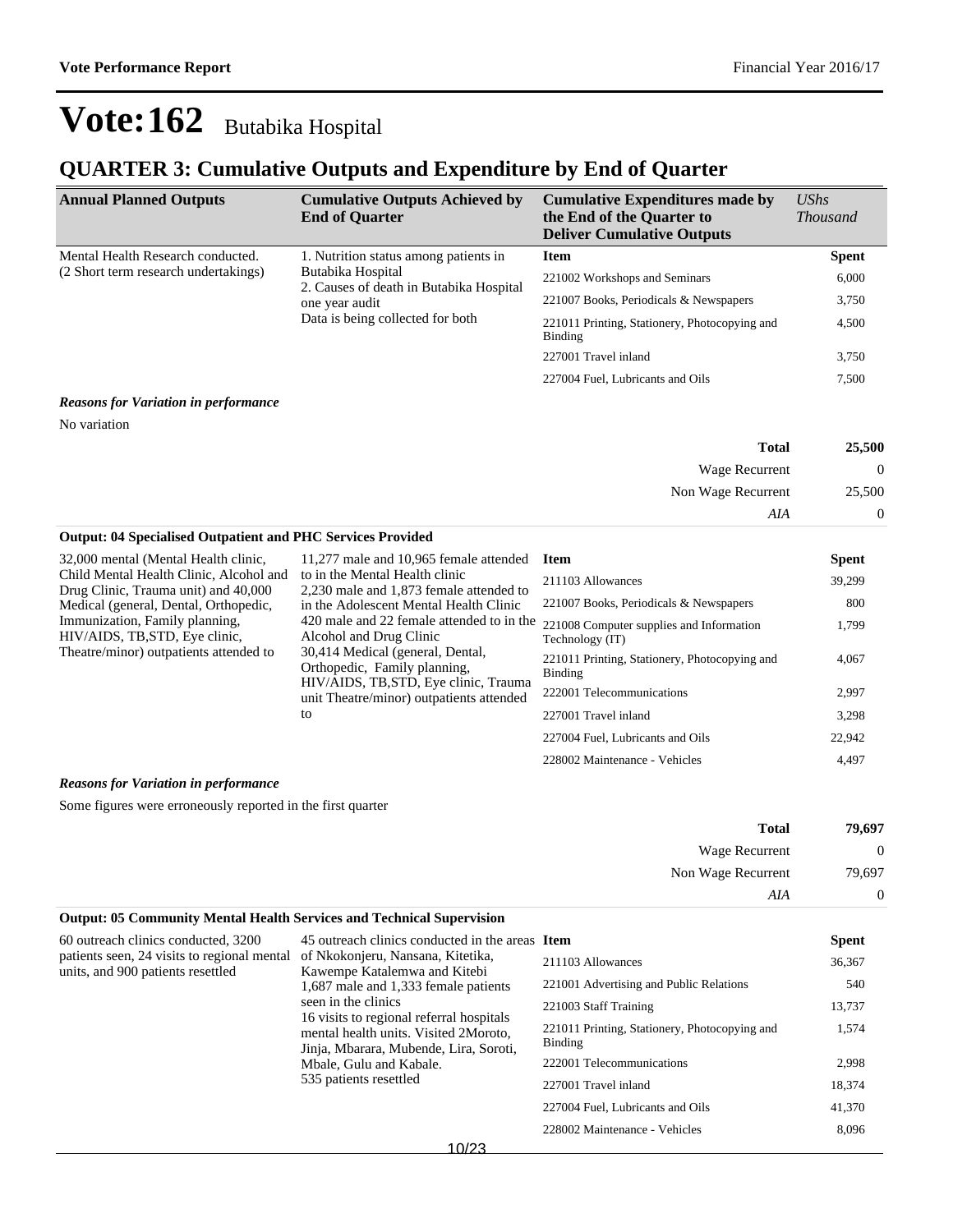### **QUARTER 3: Cumulative Outputs and Expenditure by End of Quarter**

| <b>Annual Planned Outputs</b>                                                                                                                              | <b>Cumulative Outputs Achieved by</b><br><b>End of Quarter</b> | <b>Cumulative Expenditures made by</b><br>the End of the Quarter to<br><b>Deliver Cumulative Outputs</b> | $\mathit{UShs}$<br><i>Thousand</i> |
|------------------------------------------------------------------------------------------------------------------------------------------------------------|----------------------------------------------------------------|----------------------------------------------------------------------------------------------------------|------------------------------------|
| Mental Health Research conducted.                                                                                                                          | 1. Nutrition status among patients in                          | <b>Item</b>                                                                                              | <b>Spent</b>                       |
| (2 Short term research undertakings)<br>Butabika Hospital<br>2. Causes of death in Butabika Hospital<br>one year audit<br>Data is being collected for both |                                                                | 221002 Workshops and Seminars                                                                            | 6,000                              |
|                                                                                                                                                            |                                                                | 221007 Books, Periodicals & Newspapers                                                                   | 3,750                              |
|                                                                                                                                                            | 221011 Printing, Stationery, Photocopying and<br>Binding       | 4,500                                                                                                    |                                    |
|                                                                                                                                                            | 227001 Travel inland                                           | 3,750                                                                                                    |                                    |
|                                                                                                                                                            |                                                                | 227004 Fuel, Lubricants and Oils                                                                         | 7,500                              |

#### *Reasons for Variation in performance*

No variation

| 25,500 | <b>Total</b>       |
|--------|--------------------|
| 0      | Wage Recurrent     |
| 25,500 | Non Wage Recurrent |
|        | AIA                |

| 32,000 mental (Mental Health clinic,                                                                       | 11,277 male and 10,965 female attended                                                                                                                                                                                              | <b>Item</b>                                                 | <b>Spent</b> |
|------------------------------------------------------------------------------------------------------------|-------------------------------------------------------------------------------------------------------------------------------------------------------------------------------------------------------------------------------------|-------------------------------------------------------------|--------------|
| Child Mental Health Clinic, Alcohol and<br>Drug Clinic, Trauma unit) and 40,000                            | to in the Mental Health clinic<br>2,230 male and 1,873 female attended to                                                                                                                                                           | 211103 Allowances                                           | 39,299       |
| Medical (general, Dental, Orthopedic,                                                                      | in the Adolescent Mental Health Clinic                                                                                                                                                                                              | 221007 Books, Periodicals & Newspapers                      | 800          |
| Immunization, Family planning,<br>HIV/AIDS, TB, STD, Eye clinic,<br>Theatre/minor) outpatients attended to | 420 male and 22 female attended to in the<br>Alcohol and Drug Clinic<br>30,414 Medical (general, Dental,<br>Orthopedic, Family planning,<br>HIV/AIDS, TB, STD, Eye clinic, Trauma<br>unit Theatre/minor) outpatients attended<br>to | 221008 Computer supplies and Information<br>Technology (IT) | 1,799        |
|                                                                                                            |                                                                                                                                                                                                                                     | 221011 Printing, Stationery, Photocopying and<br>Binding    | 4,067        |
|                                                                                                            |                                                                                                                                                                                                                                     | 222001 Telecommunications                                   | 2,997        |
|                                                                                                            |                                                                                                                                                                                                                                     | 227001 Travel inland                                        | 3,298        |
|                                                                                                            |                                                                                                                                                                                                                                     | 227004 Fuel, Lubricants and Oils                            | 22,942       |
|                                                                                                            |                                                                                                                                                                                                                                     | 228002 Maintenance - Vehicles                               | 4.497        |

#### *Reasons for Variation in performance*

Some figures were erroneously reported in the first quarter

**Output: 04 Specialised Outpatient and PHC Services Provided**

| 79,697         | <b>Total</b>          |
|----------------|-----------------------|
| $\overline{0}$ | <b>Wage Recurrent</b> |
| 79,697         | Non Wage Recurrent    |
| $\overline{0}$ | AIA                   |

#### **Output: 05 Community Mental Health Services and Technical Supervision** 60 outreach clinics conducted, 3200 patients seen, 24 visits to regional mental of Nkokonjeru, Nansana, Kitetika, units, and 900 patients resettled 45 outreach clinics conducted in the areas Item Kawempe Katalemwa and Kitebi 1,687 male and 1,333 female patients seen in the clinics 16 visits to regional referral hospitals mental health units. Visited 2Moroto, Jinja, Mbarara, Mubende, Lira, Soroti, Mbale, Gulu and Kabale. 535 patients resettled **Spent** 211103 Allowances 36,367 221001 Advertising and Public Relations 540 221003 Staff Training 13,737 221011 Printing, Stationery, Photocopying and Binding 1,574 222001 Telecommunications 2,998 227001 Travel inland 18,374 227004 Fuel, Lubricants and Oils 41,370 228002 Maintenance - Vehicles 8,096

10/23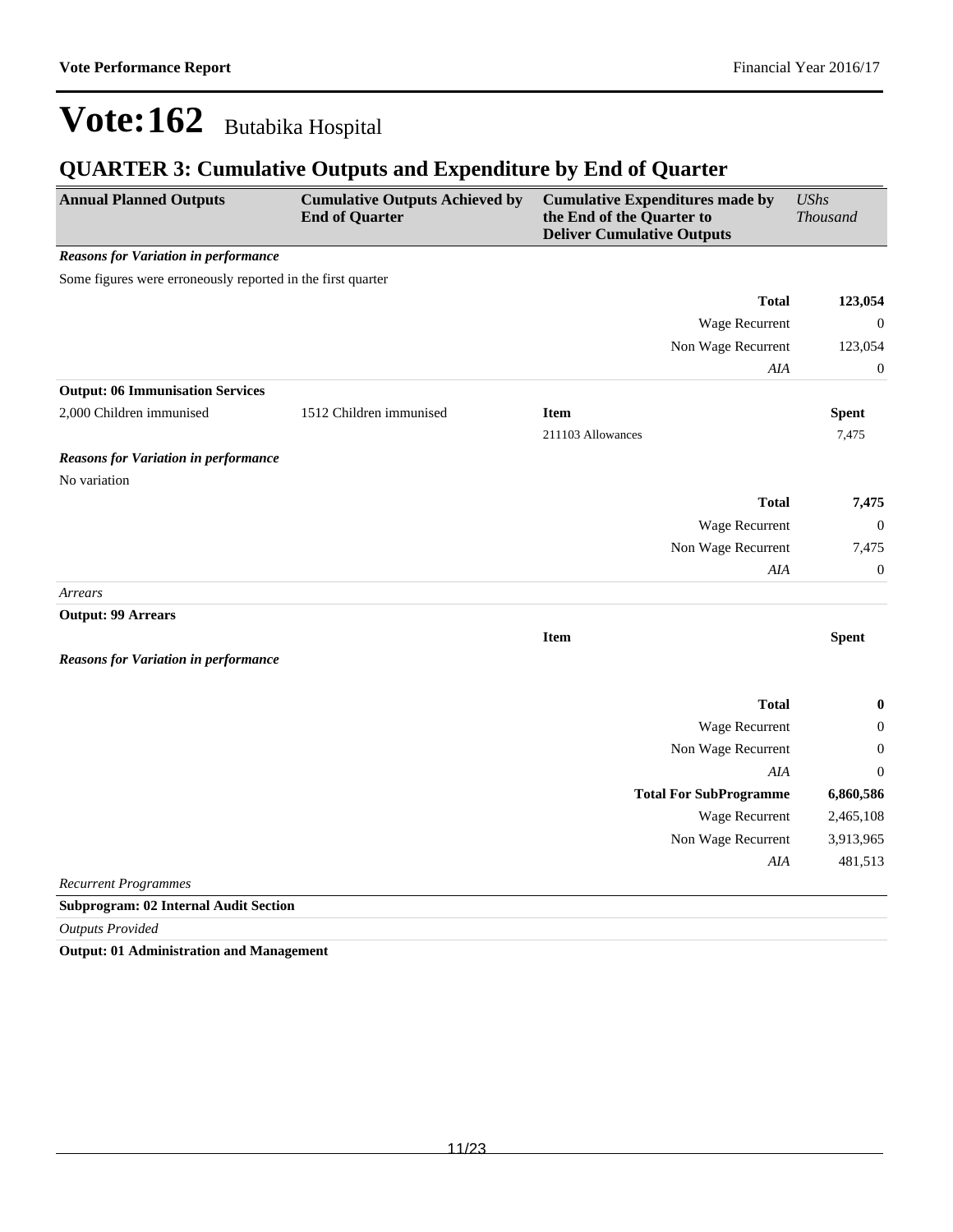### **QUARTER 3: Cumulative Outputs and Expenditure by End of Quarter**

| <b>Annual Planned Outputs</b>                               | <b>Cumulative Outputs Achieved by</b><br><b>End of Quarter</b> | <b>Cumulative Expenditures made by</b><br>the End of the Quarter to<br><b>Deliver Cumulative Outputs</b> | <b>UShs</b><br>Thousand |  |
|-------------------------------------------------------------|----------------------------------------------------------------|----------------------------------------------------------------------------------------------------------|-------------------------|--|
| <b>Reasons for Variation in performance</b>                 |                                                                |                                                                                                          |                         |  |
| Some figures were erroneously reported in the first quarter |                                                                |                                                                                                          |                         |  |
|                                                             |                                                                | <b>Total</b>                                                                                             | 123,054                 |  |
|                                                             |                                                                | Wage Recurrent                                                                                           | $\boldsymbol{0}$        |  |
|                                                             |                                                                | Non Wage Recurrent                                                                                       | 123,054                 |  |
|                                                             |                                                                | AIA                                                                                                      | $\boldsymbol{0}$        |  |
| <b>Output: 06 Immunisation Services</b>                     |                                                                |                                                                                                          |                         |  |
| 2,000 Children immunised                                    | 1512 Children immunised                                        | <b>Item</b>                                                                                              | <b>Spent</b>            |  |
|                                                             |                                                                | 211103 Allowances                                                                                        | 7,475                   |  |
| <b>Reasons for Variation in performance</b>                 |                                                                |                                                                                                          |                         |  |
| No variation                                                |                                                                |                                                                                                          |                         |  |
|                                                             |                                                                | <b>Total</b>                                                                                             | 7,475                   |  |
|                                                             |                                                                | Wage Recurrent                                                                                           | $\theta$                |  |
|                                                             |                                                                | Non Wage Recurrent                                                                                       | 7,475                   |  |
|                                                             |                                                                | AIA                                                                                                      | $\boldsymbol{0}$        |  |
| Arrears                                                     |                                                                |                                                                                                          |                         |  |
| <b>Output: 99 Arrears</b>                                   |                                                                |                                                                                                          |                         |  |
|                                                             |                                                                | <b>Item</b>                                                                                              | <b>Spent</b>            |  |
| <b>Reasons for Variation in performance</b>                 |                                                                |                                                                                                          |                         |  |
|                                                             |                                                                | <b>Total</b>                                                                                             | $\boldsymbol{0}$        |  |
|                                                             |                                                                | Wage Recurrent                                                                                           | $\boldsymbol{0}$        |  |
|                                                             |                                                                | Non Wage Recurrent                                                                                       | $\boldsymbol{0}$        |  |
|                                                             |                                                                | AIA                                                                                                      | $\Omega$                |  |
|                                                             |                                                                | <b>Total For SubProgramme</b>                                                                            | 6,860,586               |  |
|                                                             |                                                                | Wage Recurrent                                                                                           | 2,465,108               |  |
|                                                             |                                                                | Non Wage Recurrent                                                                                       | 3,913,965               |  |
|                                                             |                                                                | $A I\!A$                                                                                                 | 481,513                 |  |
| <b>Recurrent Programmes</b>                                 |                                                                |                                                                                                          |                         |  |
| <b>Subprogram: 02 Internal Audit Section</b>                |                                                                |                                                                                                          |                         |  |
|                                                             |                                                                |                                                                                                          |                         |  |

*Outputs Provided*

**Output: 01 Administration and Management**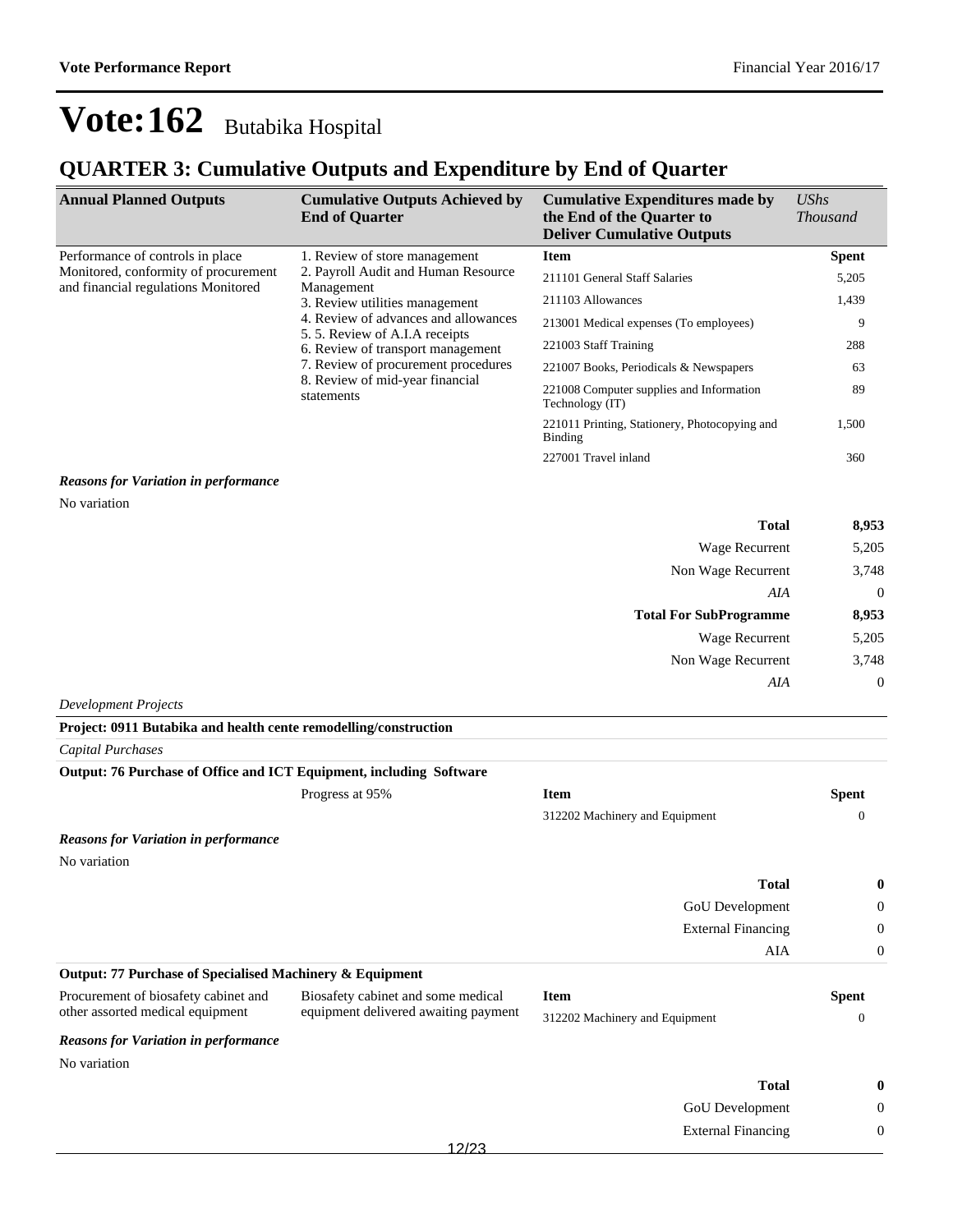### **QUARTER 3: Cumulative Outputs and Expenditure by End of Quarter**

| <b>Annual Planned Outputs</b>                                                                                                                                                                                                                                                                                                                                            | <b>Cumulative Outputs Achieved by</b><br><b>End of Quarter</b> | <b>Cumulative Expenditures made by</b><br>the End of the Quarter to<br><b>Deliver Cumulative Outputs</b> | $\mathit{UShs}$<br><i>Thousand</i> |
|--------------------------------------------------------------------------------------------------------------------------------------------------------------------------------------------------------------------------------------------------------------------------------------------------------------------------------------------------------------------------|----------------------------------------------------------------|----------------------------------------------------------------------------------------------------------|------------------------------------|
| Performance of controls in place                                                                                                                                                                                                                                                                                                                                         | 1. Review of store management                                  | <b>Item</b>                                                                                              | <b>Spent</b>                       |
| Monitored, conformity of procurement<br>2. Payroll Audit and Human Resource<br>and financial regulations Monitored<br>Management<br>3. Review utilities management<br>4. Review of advances and allowances<br>5.5. Review of A.I.A receipts<br>6. Review of transport management<br>7. Review of procurement procedures<br>8. Review of mid-year financial<br>statements |                                                                | 211101 General Staff Salaries                                                                            | 5,205                              |
|                                                                                                                                                                                                                                                                                                                                                                          |                                                                | 211103 Allowances                                                                                        | 1,439                              |
|                                                                                                                                                                                                                                                                                                                                                                          |                                                                | 213001 Medical expenses (To employees)                                                                   | 9                                  |
|                                                                                                                                                                                                                                                                                                                                                                          |                                                                | 221003 Staff Training                                                                                    | 288                                |
|                                                                                                                                                                                                                                                                                                                                                                          |                                                                | 221007 Books, Periodicals & Newspapers                                                                   | 63                                 |
|                                                                                                                                                                                                                                                                                                                                                                          | 221008 Computer supplies and Information<br>Technology (IT)    | 89                                                                                                       |                                    |
|                                                                                                                                                                                                                                                                                                                                                                          |                                                                | 221011 Printing, Stationery, Photocopying and<br>Binding                                                 | 1,500                              |
|                                                                                                                                                                                                                                                                                                                                                                          |                                                                | 227001 Travel inland                                                                                     | 360                                |

#### *Reasons for Variation in performance*

No variation

| <b>Total</b>                  | 8,953          |
|-------------------------------|----------------|
| <b>Wage Recurrent</b>         | 5,205          |
| Non Wage Recurrent            | 3,748          |
| AIA                           | $\overline{0}$ |
| <b>Total For SubProgramme</b> | 8,953          |
| <b>Wage Recurrent</b>         | 5,205          |
| Non Wage Recurrent            | 3,748          |
| AIA                           | $\overline{0}$ |
| <b>Development Projects</b>   |                |

| Project: 0911 Butabika and health cente remodelling/construction    |                                      |                                |                  |
|---------------------------------------------------------------------|--------------------------------------|--------------------------------|------------------|
| Capital Purchases                                                   |                                      |                                |                  |
| Output: 76 Purchase of Office and ICT Equipment, including Software |                                      |                                |                  |
|                                                                     | Progress at 95%                      | <b>Item</b>                    | <b>Spent</b>     |
|                                                                     |                                      | 312202 Machinery and Equipment | $\theta$         |
| <b>Reasons for Variation in performance</b>                         |                                      |                                |                  |
| No variation                                                        |                                      |                                |                  |
|                                                                     |                                      | <b>Total</b>                   | $\bf{0}$         |
|                                                                     |                                      | GoU Development                | $\boldsymbol{0}$ |
|                                                                     |                                      | <b>External Financing</b>      | $\overline{0}$   |
|                                                                     |                                      | AIA                            | $\overline{0}$   |
| Output: 77 Purchase of Specialised Machinery & Equipment            |                                      |                                |                  |
| Procurement of biosafety cabinet and                                | Biosafety cabinet and some medical   | <b>Item</b>                    | <b>Spent</b>     |
| other assorted medical equipment                                    | equipment delivered awaiting payment | 312202 Machinery and Equipment | $\theta$         |
| <b>Reasons for Variation in performance</b>                         |                                      |                                |                  |
| No variation                                                        |                                      |                                |                  |
|                                                                     |                                      | <b>Total</b>                   | $\bf{0}$         |
|                                                                     |                                      | GoU Development                | 0                |
|                                                                     |                                      | <b>External Financing</b>      | $\boldsymbol{0}$ |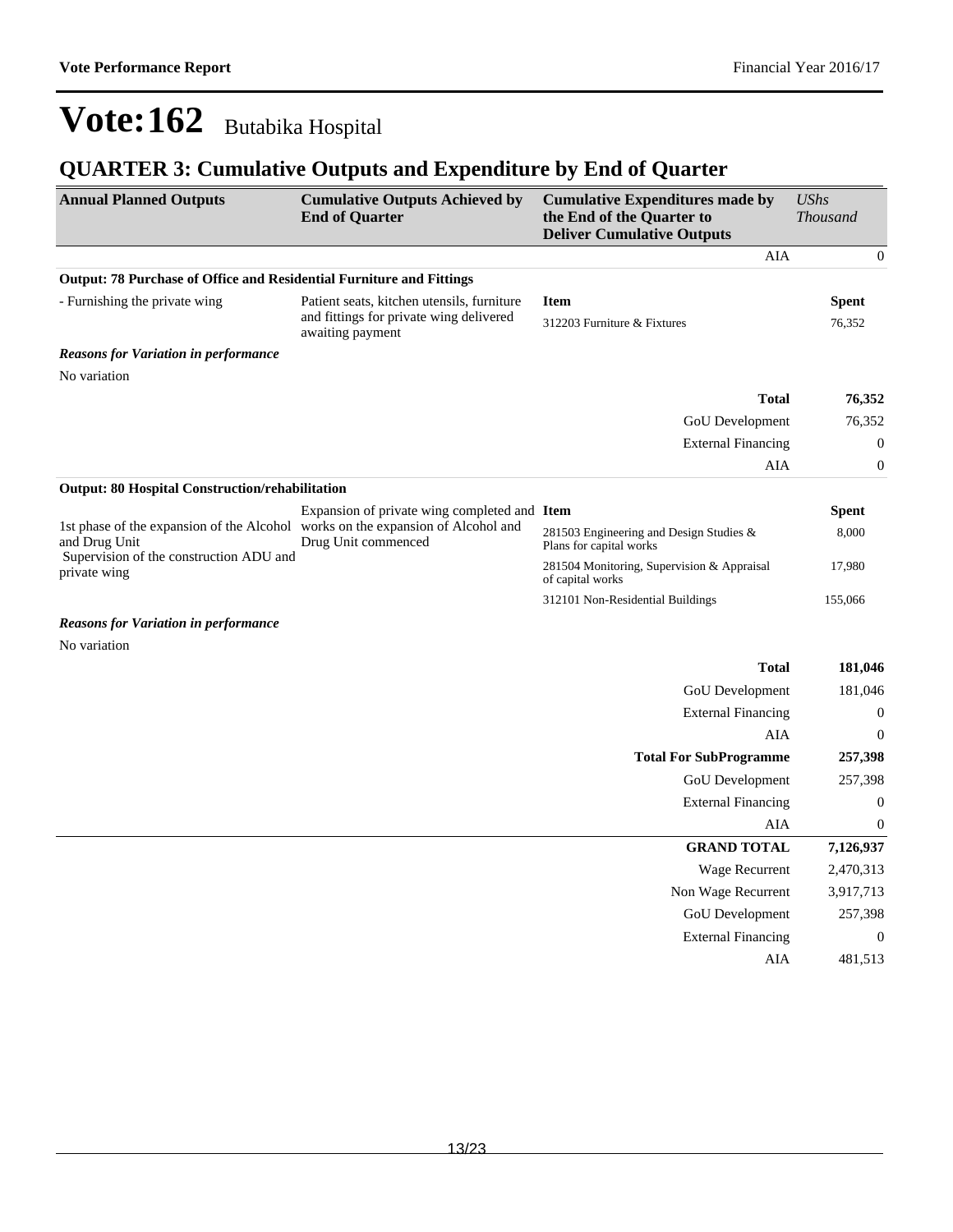### **QUARTER 3: Cumulative Outputs and Expenditure by End of Quarter**

| <b>Annual Planned Outputs</b>                                        | <b>Cumulative Outputs Achieved by</b><br><b>End of Quarter</b>                                         | <b>Cumulative Expenditures made by</b><br>the End of the Quarter to<br><b>Deliver Cumulative Outputs</b> | <b>UShs</b><br><b>Thousand</b> |
|----------------------------------------------------------------------|--------------------------------------------------------------------------------------------------------|----------------------------------------------------------------------------------------------------------|--------------------------------|
|                                                                      |                                                                                                        | AIA                                                                                                      | $\boldsymbol{0}$               |
| Output: 78 Purchase of Office and Residential Furniture and Fittings |                                                                                                        |                                                                                                          |                                |
| - Furnishing the private wing                                        | Patient seats, kitchen utensils, furniture                                                             | <b>Item</b>                                                                                              | <b>Spent</b>                   |
|                                                                      | and fittings for private wing delivered<br>awaiting payment                                            | 312203 Furniture & Fixtures                                                                              | 76,352                         |
| <b>Reasons for Variation in performance</b>                          |                                                                                                        |                                                                                                          |                                |
| No variation                                                         |                                                                                                        |                                                                                                          |                                |
|                                                                      |                                                                                                        | <b>Total</b>                                                                                             | 76,352                         |
|                                                                      |                                                                                                        | GoU Development                                                                                          | 76,352                         |
|                                                                      |                                                                                                        | <b>External Financing</b>                                                                                | $\boldsymbol{0}$               |
|                                                                      |                                                                                                        | AIA                                                                                                      | $\boldsymbol{0}$               |
| <b>Output: 80 Hospital Construction/rehabilitation</b>               |                                                                                                        |                                                                                                          |                                |
|                                                                      | Expansion of private wing completed and Item                                                           |                                                                                                          | Spent                          |
| and Drug Unit                                                        | 1st phase of the expansion of the Alcohol works on the expansion of Alcohol and<br>Drug Unit commenced | 281503 Engineering and Design Studies &<br>Plans for capital works                                       | 8,000                          |
| Supervision of the construction ADU and<br>private wing              |                                                                                                        | 281504 Monitoring, Supervision & Appraisal<br>of capital works                                           | 17,980                         |
|                                                                      |                                                                                                        | 312101 Non-Residential Buildings                                                                         | 155,066                        |
| <b>Reasons for Variation in performance</b>                          |                                                                                                        |                                                                                                          |                                |
| No variation                                                         |                                                                                                        |                                                                                                          |                                |
|                                                                      |                                                                                                        | <b>Total</b>                                                                                             | 181,046                        |
|                                                                      |                                                                                                        | GoU Development                                                                                          | 181,046                        |
|                                                                      |                                                                                                        | <b>External Financing</b>                                                                                | $\boldsymbol{0}$               |
|                                                                      |                                                                                                        | AIA                                                                                                      | $\boldsymbol{0}$               |
|                                                                      |                                                                                                        | <b>Total For SubProgramme</b>                                                                            | 257,398                        |
|                                                                      |                                                                                                        | GoU Development                                                                                          | 257,398                        |
|                                                                      |                                                                                                        | <b>External Financing</b>                                                                                | $\boldsymbol{0}$               |
|                                                                      |                                                                                                        | AIA                                                                                                      | $\boldsymbol{0}$               |
|                                                                      |                                                                                                        | <b>GRAND TOTAL</b>                                                                                       | 7,126,937                      |
|                                                                      |                                                                                                        | Wage Recurrent                                                                                           | 2,470,313                      |
|                                                                      |                                                                                                        | Non Wage Recurrent                                                                                       | 3,917,713                      |
|                                                                      |                                                                                                        | <b>GoU</b> Development                                                                                   | 257,398                        |
|                                                                      |                                                                                                        | <b>External Financing</b>                                                                                | $\mathbf{0}$                   |
|                                                                      |                                                                                                        | AIA                                                                                                      | 481,513                        |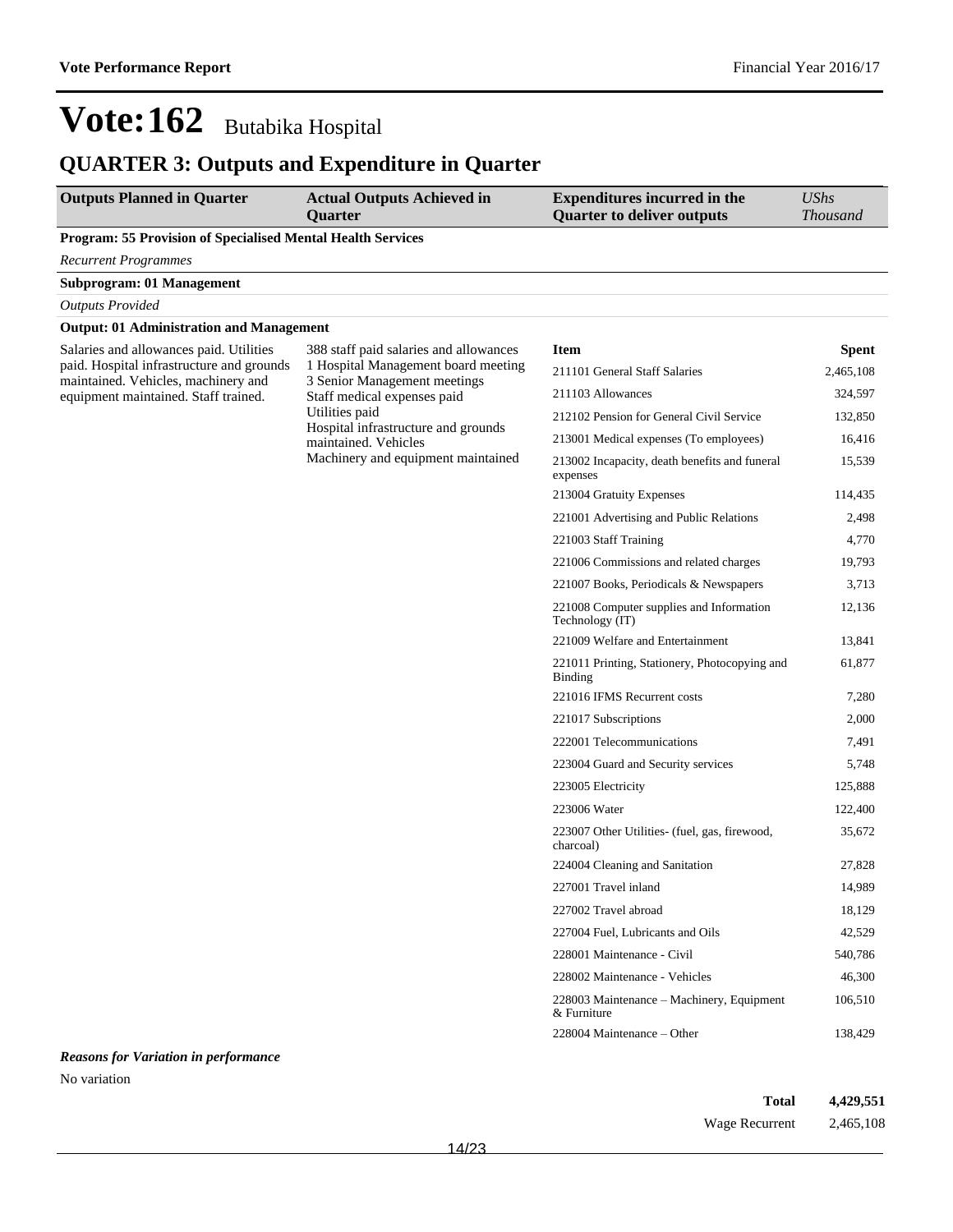## **QUARTER 3: Outputs and Expenditure in Quarter**

| <b>Outputs Planned in Quarter</b>                                                                                           | <b>Actual Outputs Achieved in</b><br><b>Quarter</b>                                                           | <b>Expenditures incurred in the</b><br><b>Quarter to deliver outputs</b> | <b>UShs</b><br><b>Thousand</b> |
|-----------------------------------------------------------------------------------------------------------------------------|---------------------------------------------------------------------------------------------------------------|--------------------------------------------------------------------------|--------------------------------|
| Program: 55 Provision of Specialised Mental Health Services                                                                 |                                                                                                               |                                                                          |                                |
| <b>Recurrent Programmes</b>                                                                                                 |                                                                                                               |                                                                          |                                |
| <b>Subprogram: 01 Management</b>                                                                                            |                                                                                                               |                                                                          |                                |
| <b>Outputs Provided</b>                                                                                                     |                                                                                                               |                                                                          |                                |
| <b>Output: 01 Administration and Management</b>                                                                             |                                                                                                               |                                                                          |                                |
| Salaries and allowances paid. Utilities<br>paid. Hospital infrastructure and grounds<br>maintained. Vehicles, machinery and | 388 staff paid salaries and allowances<br>1 Hospital Management board meeting<br>3 Senior Management meetings | <b>Item</b>                                                              | <b>Spent</b>                   |
|                                                                                                                             |                                                                                                               | 211101 General Staff Salaries                                            | 2,465,108                      |
| equipment maintained. Staff trained.                                                                                        | Staff medical expenses paid                                                                                   | 211103 Allowances                                                        | 324,597                        |
|                                                                                                                             | Utilities paid                                                                                                | 212102 Pension for General Civil Service                                 | 132,850                        |
|                                                                                                                             | Hospital infrastructure and grounds<br>maintained. Vehicles                                                   | 213001 Medical expenses (To employees)                                   | 16,416                         |
|                                                                                                                             | Machinery and equipment maintained                                                                            | 213002 Incapacity, death benefits and funeral<br>expenses                | 15,539                         |
|                                                                                                                             |                                                                                                               | 213004 Gratuity Expenses                                                 | 114,435                        |
|                                                                                                                             |                                                                                                               | 221001 Advertising and Public Relations                                  | 2,498                          |
|                                                                                                                             |                                                                                                               | 221003 Staff Training                                                    | 4,770                          |
|                                                                                                                             |                                                                                                               | 221006 Commissions and related charges                                   | 19,793                         |
|                                                                                                                             |                                                                                                               | 221007 Books, Periodicals & Newspapers                                   | 3,713                          |
|                                                                                                                             |                                                                                                               | 221008 Computer supplies and Information<br>Technology (IT)              | 12,136                         |
|                                                                                                                             |                                                                                                               | 221009 Welfare and Entertainment                                         | 13,841                         |
|                                                                                                                             |                                                                                                               | 221011 Printing, Stationery, Photocopying and<br><b>Binding</b>          | 61,877                         |
|                                                                                                                             |                                                                                                               | 221016 IFMS Recurrent costs                                              | 7,280                          |
|                                                                                                                             |                                                                                                               | 221017 Subscriptions                                                     | 2,000                          |
|                                                                                                                             |                                                                                                               | 222001 Telecommunications                                                | 7,491                          |
|                                                                                                                             |                                                                                                               | 223004 Guard and Security services                                       | 5,748                          |
|                                                                                                                             |                                                                                                               | 223005 Electricity                                                       | 125,888                        |
|                                                                                                                             |                                                                                                               | 223006 Water                                                             | 122,400                        |
|                                                                                                                             |                                                                                                               | 223007 Other Utilities- (fuel, gas, firewood,<br>charcoal)               | 35,672                         |
|                                                                                                                             |                                                                                                               | 224004 Cleaning and Sanitation                                           | 27,828                         |
|                                                                                                                             |                                                                                                               | 227001 Travel inland                                                     | 14,989                         |
|                                                                                                                             |                                                                                                               | 227002 Travel abroad                                                     | 18,129                         |
|                                                                                                                             |                                                                                                               | 227004 Fuel, Lubricants and Oils                                         | 42,529                         |
|                                                                                                                             |                                                                                                               | 228001 Maintenance - Civil                                               | 540,786                        |
|                                                                                                                             |                                                                                                               | 228002 Maintenance - Vehicles                                            | 46,300                         |
|                                                                                                                             |                                                                                                               | 228003 Maintenance - Machinery, Equipment<br>& Furniture                 | 106,510                        |
|                                                                                                                             |                                                                                                               | 228004 Maintenance – Other                                               | 138,429                        |
| <b>Reasons for Variation in performance</b>                                                                                 |                                                                                                               |                                                                          |                                |

No variation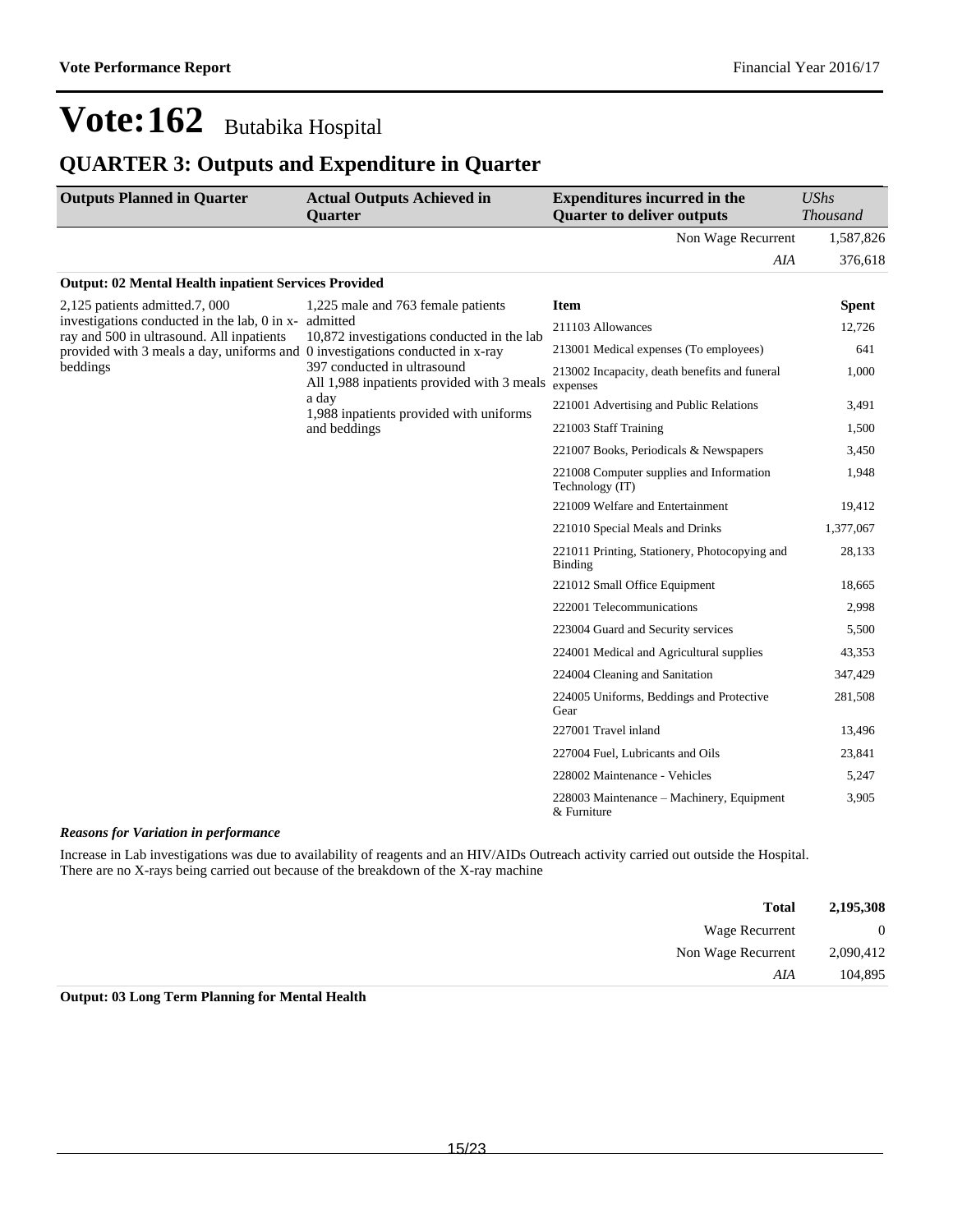### **QUARTER 3: Outputs and Expenditure in Quarter**

| <b>Outputs Planned in Quarter</b>                                                                                          | <b>Actual Outputs Achieved in</b><br><b>Quarter</b>                       | <b>Expenditures incurred in the</b><br><b>Quarter to deliver outputs</b> | UShs<br><b>Thousand</b> |
|----------------------------------------------------------------------------------------------------------------------------|---------------------------------------------------------------------------|--------------------------------------------------------------------------|-------------------------|
|                                                                                                                            |                                                                           | Non Wage Recurrent                                                       | 1,587,826               |
|                                                                                                                            |                                                                           | AIA                                                                      | 376,618                 |
| <b>Output: 02 Mental Health inpatient Services Provided</b>                                                                |                                                                           |                                                                          |                         |
| 2,125 patients admitted.7, 000                                                                                             | 1,225 male and 763 female patients<br>admitted                            | <b>Item</b>                                                              | <b>Spent</b>            |
| investigations conducted in the lab, 0 in x-                                                                               |                                                                           | 211103 Allowances                                                        | 12,726                  |
| ray and 500 in ultrasound. All inpatients<br>provided with 3 meals a day, uniforms and 0 investigations conducted in x-ray | 10,872 investigations conducted in the lab                                | 213001 Medical expenses (To employees)                                   | 641                     |
| beddings                                                                                                                   | 397 conducted in ultrasound<br>All 1,988 inpatients provided with 3 meals | 213002 Incapacity, death benefits and funeral<br>expenses                | 1,000                   |
|                                                                                                                            | a day<br>1,988 inpatients provided with uniforms                          | 221001 Advertising and Public Relations                                  | 3,491                   |
|                                                                                                                            | and beddings                                                              | 221003 Staff Training                                                    | 1,500                   |
|                                                                                                                            |                                                                           | 221007 Books, Periodicals & Newspapers                                   | 3,450                   |
|                                                                                                                            |                                                                           | 221008 Computer supplies and Information<br>Technology (IT)              | 1,948                   |
|                                                                                                                            |                                                                           | 221009 Welfare and Entertainment                                         | 19,412                  |
|                                                                                                                            |                                                                           | 221010 Special Meals and Drinks                                          | 1,377,067               |
|                                                                                                                            |                                                                           | 221011 Printing, Stationery, Photocopying and<br>Binding                 | 28,133                  |
|                                                                                                                            |                                                                           | 221012 Small Office Equipment                                            | 18,665                  |
|                                                                                                                            |                                                                           | 222001 Telecommunications                                                | 2,998                   |
|                                                                                                                            |                                                                           | 223004 Guard and Security services                                       | 5,500                   |
|                                                                                                                            |                                                                           | 224001 Medical and Agricultural supplies                                 | 43,353                  |
|                                                                                                                            |                                                                           | 224004 Cleaning and Sanitation                                           | 347,429                 |
|                                                                                                                            |                                                                           | 224005 Uniforms, Beddings and Protective<br>Gear                         | 281,508                 |
|                                                                                                                            |                                                                           | 227001 Travel inland                                                     | 13,496                  |
|                                                                                                                            |                                                                           | 227004 Fuel, Lubricants and Oils                                         | 23,841                  |
|                                                                                                                            |                                                                           | 228002 Maintenance - Vehicles                                            | 5,247                   |
|                                                                                                                            |                                                                           | 228003 Maintenance – Machinery, Equipment<br>& Furniture                 | 3,905                   |

#### *Reasons for Variation in performance*

Increase in Lab investigations was due to availability of reagents and an HIV/AIDs Outreach activity carried out outside the Hospital. There are no X-rays being carried out because of the breakdown of the X-ray machine

| 2,195,308      | <b>Total</b>       |
|----------------|--------------------|
| $\overline{0}$ | Wage Recurrent     |
| 2,090,412      | Non Wage Recurrent |
| 104,895        | AIA                |

#### **Output: 03 Long Term Planning for Mental Health**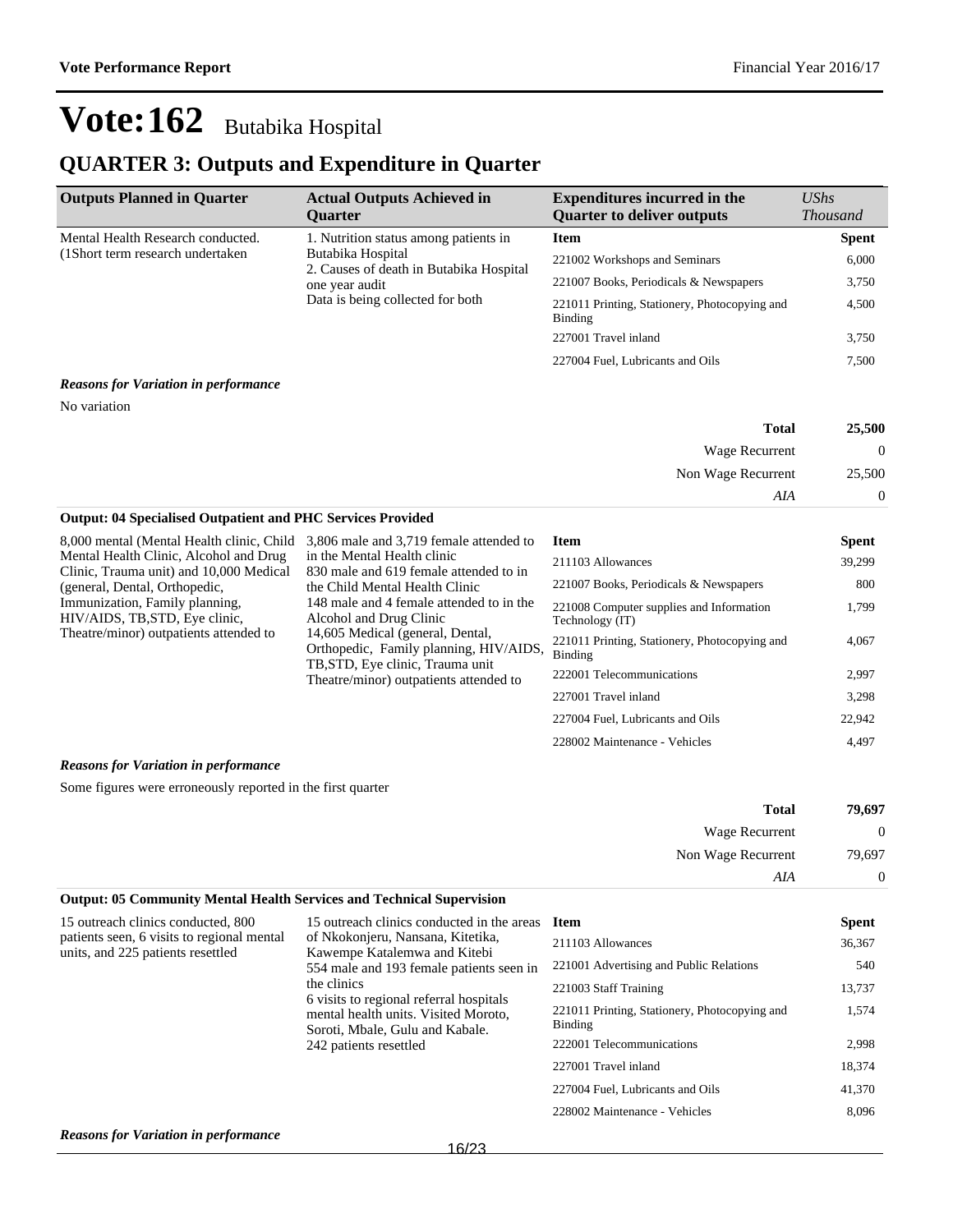### **QUARTER 3: Outputs and Expenditure in Quarter**

| <b>Outputs Planned in Quarter</b>                                                                                                                       | <b>Actual Outputs Achieved in</b><br><b>Ouarter</b>      | <b>Expenditures incurred in the</b><br><b>Quarter to deliver outputs</b> | $\mathit{UShs}$<br><b>Thousand</b> |
|---------------------------------------------------------------------------------------------------------------------------------------------------------|----------------------------------------------------------|--------------------------------------------------------------------------|------------------------------------|
| Mental Health Research conducted.                                                                                                                       | 1. Nutrition status among patients in                    | <b>Item</b>                                                              | <b>Spent</b>                       |
| (1Short term research undertaken)<br>Butabika Hospital<br>2. Causes of death in Butabika Hospital<br>one year audit<br>Data is being collected for both |                                                          | 221002 Workshops and Seminars                                            | 6,000                              |
|                                                                                                                                                         |                                                          | 221007 Books, Periodicals & Newspapers                                   | 3,750                              |
|                                                                                                                                                         | 221011 Printing, Stationery, Photocopying and<br>Binding | 4,500                                                                    |                                    |
|                                                                                                                                                         |                                                          | 227001 Travel inland                                                     | 3,750                              |
|                                                                                                                                                         |                                                          | 227004 Fuel, Lubricants and Oils                                         | 7,500                              |

#### *Reasons for Variation in performance*

No variation

| Total              | 25,500       |
|--------------------|--------------|
| Wage Recurrent     | $\mathbf{0}$ |
| Non Wage Recurrent | 25,500       |
| AIA                | 0            |

#### **Output: 04 Specialised Outpatient and PHC Services Provided**

| 8,000 mental (Mental Health clinic, Child<br>Mental Health Clinic, Alcohol and Drug | 3,806 male and 3,719 female attended to<br>in the Mental Health clinic<br>830 male and 619 female attended to in<br>the Child Mental Health Clinic<br>148 male and 4 female attended to in the<br>Alcohol and Drug Clinic<br>14,605 Medical (general, Dental,<br>Orthopedic, Family planning, HIV/AIDS,<br>TB, STD, Eye clinic, Trauma unit<br>Theatre/minor) outpatients attended to | <b>Item</b><br>211103 Allowances                            | <b>Spent</b><br>39.299 |
|-------------------------------------------------------------------------------------|---------------------------------------------------------------------------------------------------------------------------------------------------------------------------------------------------------------------------------------------------------------------------------------------------------------------------------------------------------------------------------------|-------------------------------------------------------------|------------------------|
| Clinic, Trauma unit) and 10,000 Medical<br>(general, Dental, Orthopedic,            |                                                                                                                                                                                                                                                                                                                                                                                       | 221007 Books, Periodicals & Newspapers                      | 800                    |
| Immunization, Family planning,<br>HIV/AIDS, TB, STD, Eye clinic,                    |                                                                                                                                                                                                                                                                                                                                                                                       | 221008 Computer supplies and Information<br>Technology (IT) | 1.799                  |
| Theatre/minor) outpatients attended to                                              |                                                                                                                                                                                                                                                                                                                                                                                       | 221011 Printing, Stationery, Photocopying and<br>Binding    | 4.067                  |
|                                                                                     |                                                                                                                                                                                                                                                                                                                                                                                       | 222001 Telecommunications                                   | 2.997                  |
|                                                                                     |                                                                                                                                                                                                                                                                                                                                                                                       | 227001 Travel inland                                        | 3,298                  |
|                                                                                     |                                                                                                                                                                                                                                                                                                                                                                                       | 227004 Fuel, Lubricants and Oils                            | 22,942                 |
|                                                                                     |                                                                                                                                                                                                                                                                                                                                                                                       | 228002 Maintenance - Vehicles                               | 4.497                  |

#### *Reasons for Variation in performance*

Some figures were erroneously reported in the first quarter

| 79,697       | <b>Total</b>       |
|--------------|--------------------|
| $\mathbf{0}$ | Wage Recurrent     |
| 79,697       | Non Wage Recurrent |
| 0            | AIA                |

#### **Output: 05 Community Mental Health Services and Technical Supervision**

| 15 outreach clinics conducted, 800                                              | 15 outreach clinics conducted in the areas                                                                                                                                                                                                                                   | <b>Item</b>                                              | <b>Spent</b> |
|---------------------------------------------------------------------------------|------------------------------------------------------------------------------------------------------------------------------------------------------------------------------------------------------------------------------------------------------------------------------|----------------------------------------------------------|--------------|
| patients seen, 6 visits to regional mental<br>units, and 225 patients resettled | of Nkokonjeru, Nansana, Kitetika,<br>Kawempe Katalemwa and Kitebi<br>554 male and 193 female patients seen in<br>the clinics<br>6 visits to regional referral hospitals<br>mental health units. Visited Moroto,<br>Soroti, Mbale, Gulu and Kabale.<br>242 patients resettled | 211103 Allowances                                        | 36,367       |
|                                                                                 |                                                                                                                                                                                                                                                                              | 221001 Advertising and Public Relations                  | 540          |
|                                                                                 |                                                                                                                                                                                                                                                                              | 221003 Staff Training                                    | 13,737       |
|                                                                                 |                                                                                                                                                                                                                                                                              | 221011 Printing, Stationery, Photocopying and<br>Binding | 1,574        |
|                                                                                 |                                                                                                                                                                                                                                                                              | 222001 Telecommunications                                | 2,998        |
|                                                                                 |                                                                                                                                                                                                                                                                              | 227001 Travel inland                                     | 18,374       |
|                                                                                 |                                                                                                                                                                                                                                                                              | 227004 Fuel, Lubricants and Oils                         | 41,370       |
|                                                                                 |                                                                                                                                                                                                                                                                              | 228002 Maintenance - Vehicles                            | 8,096        |
| <b>Reasons for Variation in performance</b>                                     |                                                                                                                                                                                                                                                                              |                                                          |              |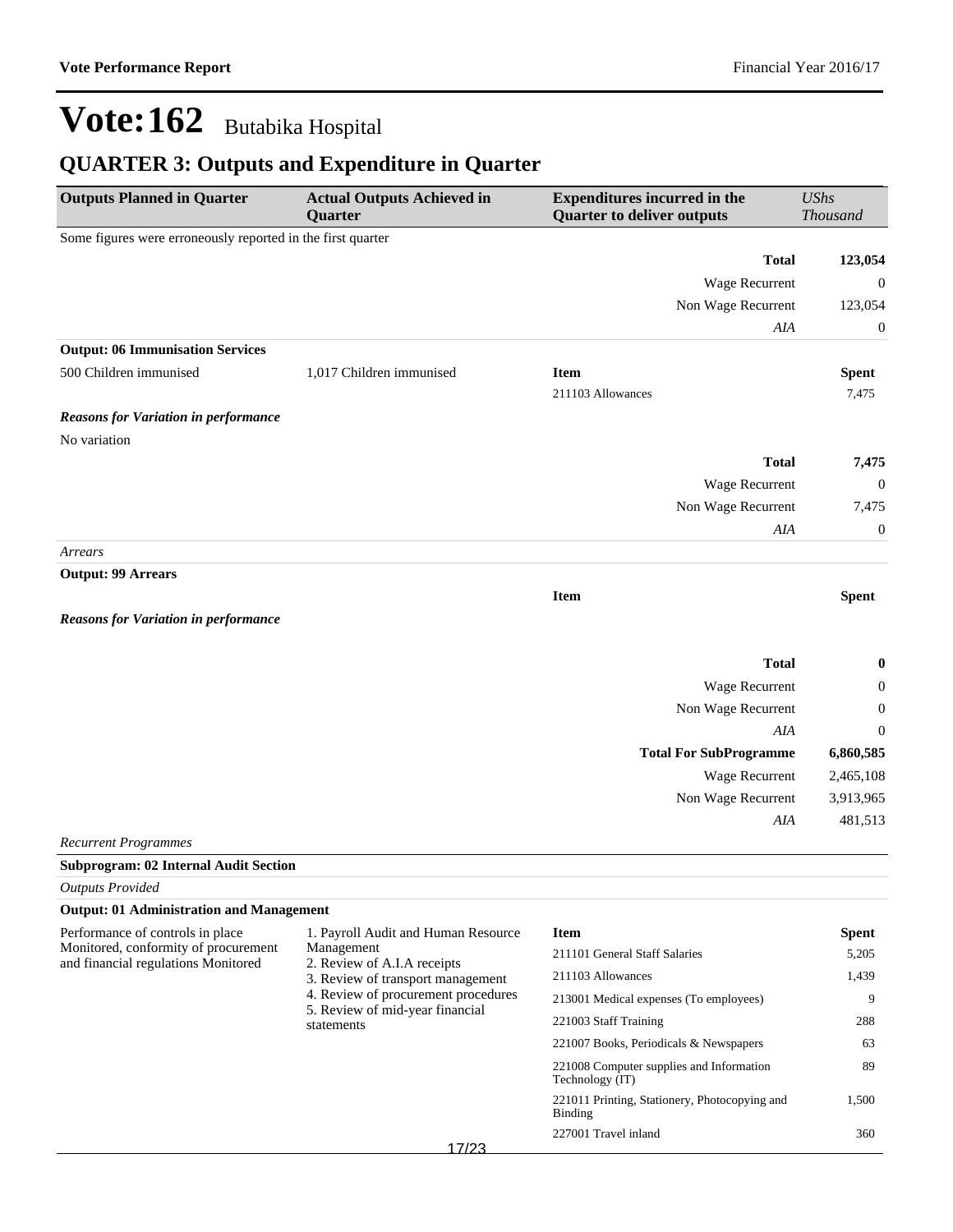## **QUARTER 3: Outputs and Expenditure in Quarter**

| <b>Outputs Planned in Quarter</b>                                           | <b>Actual Outputs Achieved in</b><br>Quarter                           | <b>Expenditures incurred in the</b><br><b>Quarter to deliver outputs</b> | <b>UShs</b><br><b>Thousand</b> |
|-----------------------------------------------------------------------------|------------------------------------------------------------------------|--------------------------------------------------------------------------|--------------------------------|
| Some figures were erroneously reported in the first quarter                 |                                                                        |                                                                          |                                |
|                                                                             |                                                                        | <b>Total</b>                                                             | 123,054                        |
|                                                                             |                                                                        | Wage Recurrent                                                           | $\mathbf{0}$                   |
|                                                                             |                                                                        | Non Wage Recurrent                                                       | 123,054                        |
|                                                                             |                                                                        | AIA                                                                      | $\boldsymbol{0}$               |
| <b>Output: 06 Immunisation Services</b>                                     |                                                                        |                                                                          |                                |
| 500 Children immunised                                                      | 1,017 Children immunised                                               | <b>Item</b>                                                              | <b>Spent</b>                   |
|                                                                             |                                                                        | 211103 Allowances                                                        | 7,475                          |
| <b>Reasons for Variation in performance</b>                                 |                                                                        |                                                                          |                                |
| No variation                                                                |                                                                        |                                                                          |                                |
|                                                                             |                                                                        | <b>Total</b>                                                             | 7,475                          |
|                                                                             |                                                                        | Wage Recurrent                                                           | $\mathbf{0}$                   |
|                                                                             |                                                                        | Non Wage Recurrent                                                       | 7,475                          |
|                                                                             |                                                                        | AIA                                                                      | $\boldsymbol{0}$               |
| Arrears                                                                     |                                                                        |                                                                          |                                |
| <b>Output: 99 Arrears</b>                                                   |                                                                        |                                                                          |                                |
|                                                                             |                                                                        | <b>Item</b>                                                              | <b>Spent</b>                   |
| <b>Reasons for Variation in performance</b>                                 |                                                                        |                                                                          |                                |
|                                                                             |                                                                        | <b>Total</b>                                                             | $\bf{0}$                       |
|                                                                             |                                                                        | Wage Recurrent                                                           | $\boldsymbol{0}$               |
|                                                                             |                                                                        | Non Wage Recurrent                                                       | $\boldsymbol{0}$               |
|                                                                             |                                                                        | AIA                                                                      | $\boldsymbol{0}$               |
|                                                                             |                                                                        | <b>Total For SubProgramme</b>                                            | 6,860,585                      |
|                                                                             |                                                                        | Wage Recurrent                                                           | 2,465,108                      |
|                                                                             |                                                                        | Non Wage Recurrent                                                       | 3,913,965                      |
|                                                                             |                                                                        | AIA                                                                      | 481,513                        |
| <b>Recurrent Programmes</b>                                                 |                                                                        |                                                                          |                                |
| <b>Subprogram: 02 Internal Audit Section</b>                                |                                                                        |                                                                          |                                |
| <b>Outputs Provided</b>                                                     |                                                                        |                                                                          |                                |
| <b>Output: 01 Administration and Management</b>                             |                                                                        |                                                                          |                                |
| Performance of controls in place                                            | 1. Payroll Audit and Human Resource                                    | <b>Item</b>                                                              | <b>Spent</b>                   |
| Monitored, conformity of procurement<br>and financial regulations Monitored | Management<br>2. Review of A.I.A receipts                              | 211101 General Staff Salaries                                            | 5,205                          |
|                                                                             | 3. Review of transport management                                      | 211103 Allowances                                                        | 1,439                          |
|                                                                             | 4. Review of procurement procedures<br>5. Review of mid-year financial | 213001 Medical expenses (To employees)                                   | 9                              |
|                                                                             | statements                                                             | 221003 Staff Training                                                    | 288                            |
|                                                                             |                                                                        | 221007 Books, Periodicals & Newspapers                                   | 63                             |
|                                                                             |                                                                        | 221008 Computer supplies and Information<br>Technology (IT)              | 89                             |

221011 Printing, Stationery, Photocopying and

227001 Travel inland 360

1,500

Binding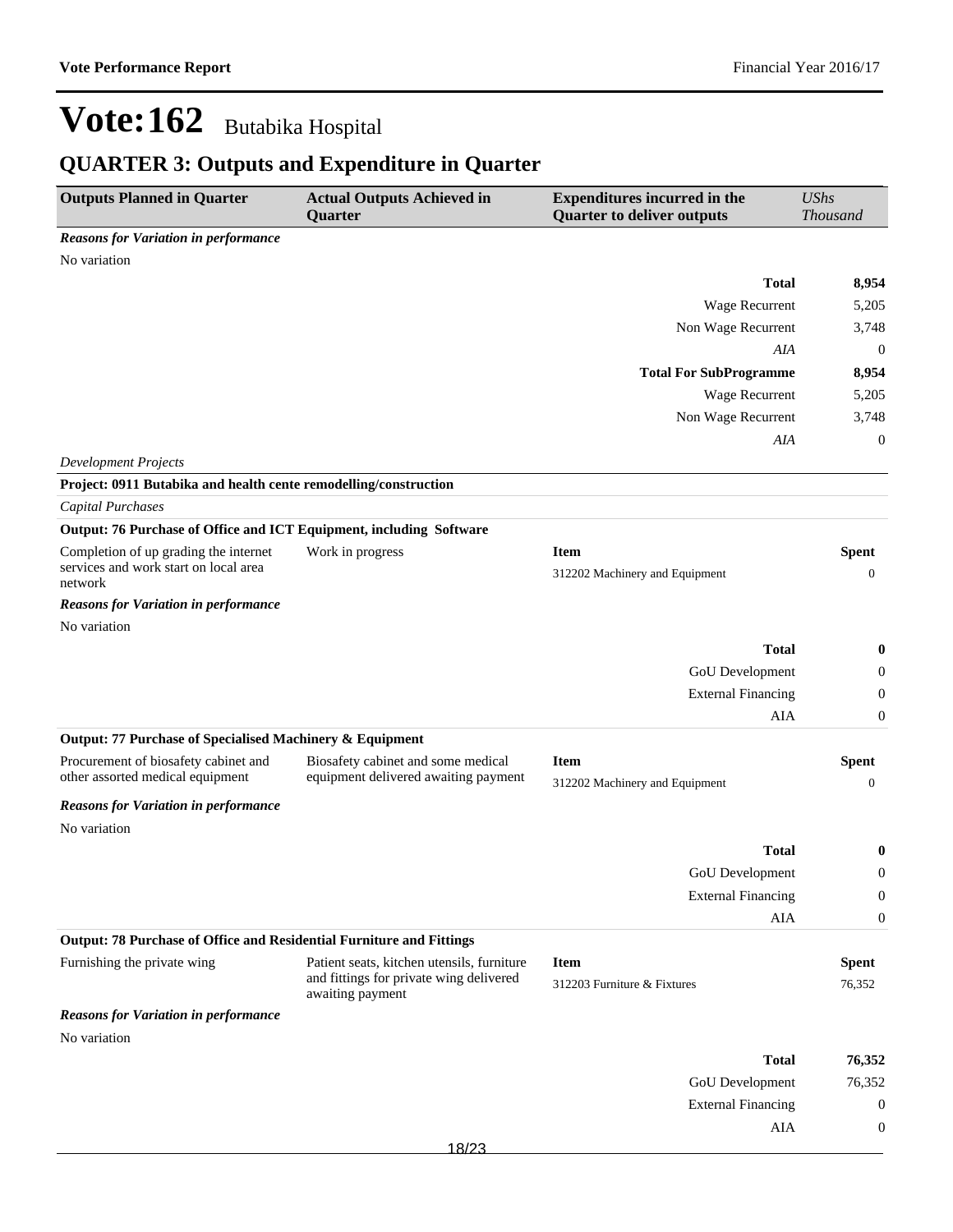## **QUARTER 3: Outputs and Expenditure in Quarter**

| <b>Outputs Planned in Quarter</b>                                                         | <b>Actual Outputs Achieved in</b><br>Quarter                | <b>Expenditures incurred in the</b><br><b>Quarter to deliver outputs</b> | <b>UShs</b><br><b>Thousand</b>   |
|-------------------------------------------------------------------------------------------|-------------------------------------------------------------|--------------------------------------------------------------------------|----------------------------------|
| <b>Reasons for Variation in performance</b>                                               |                                                             |                                                                          |                                  |
| No variation                                                                              |                                                             |                                                                          |                                  |
|                                                                                           |                                                             | <b>Total</b>                                                             | 8,954                            |
|                                                                                           |                                                             | Wage Recurrent                                                           | 5,205                            |
|                                                                                           |                                                             | Non Wage Recurrent                                                       | 3,748                            |
|                                                                                           |                                                             | AIA                                                                      | $\boldsymbol{0}$                 |
|                                                                                           |                                                             | <b>Total For SubProgramme</b>                                            | 8,954                            |
|                                                                                           |                                                             | Wage Recurrent                                                           | 5,205                            |
|                                                                                           |                                                             | Non Wage Recurrent                                                       | 3,748                            |
|                                                                                           |                                                             | AIA                                                                      | $\mathbf{0}$                     |
| <b>Development Projects</b>                                                               |                                                             |                                                                          |                                  |
| Project: 0911 Butabika and health cente remodelling/construction                          |                                                             |                                                                          |                                  |
| <b>Capital Purchases</b>                                                                  |                                                             |                                                                          |                                  |
| Output: 76 Purchase of Office and ICT Equipment, including Software                       |                                                             |                                                                          |                                  |
| Completion of up grading the internet<br>services and work start on local area<br>network | Work in progress                                            | <b>Item</b><br>312202 Machinery and Equipment                            | <b>Spent</b><br>$\boldsymbol{0}$ |
| <b>Reasons for Variation in performance</b>                                               |                                                             |                                                                          |                                  |
| No variation                                                                              |                                                             |                                                                          |                                  |
|                                                                                           |                                                             | <b>Total</b>                                                             | 0                                |
|                                                                                           |                                                             | GoU Development                                                          | $\theta$                         |
|                                                                                           |                                                             | <b>External Financing</b>                                                | $\overline{0}$                   |
|                                                                                           |                                                             | AIA                                                                      | $\boldsymbol{0}$                 |
| Output: 77 Purchase of Specialised Machinery & Equipment                                  |                                                             |                                                                          |                                  |
| Procurement of biosafety cabinet and                                                      | Biosafety cabinet and some medical                          | <b>Item</b>                                                              | <b>Spent</b>                     |
| other assorted medical equipment                                                          | equipment delivered awaiting payment                        | 312202 Machinery and Equipment                                           | $\mathbf{0}$                     |
| <b>Reasons for Variation in performance</b>                                               |                                                             |                                                                          |                                  |
| No variation                                                                              |                                                             |                                                                          |                                  |
|                                                                                           |                                                             | <b>Total</b>                                                             | 0                                |
|                                                                                           |                                                             | GoU Development                                                          | $\Omega$                         |
|                                                                                           |                                                             | <b>External Financing</b>                                                | $\boldsymbol{0}$                 |
|                                                                                           |                                                             | AIA                                                                      | $\boldsymbol{0}$                 |
| Output: 78 Purchase of Office and Residential Furniture and Fittings                      |                                                             |                                                                          |                                  |
| Furnishing the private wing                                                               | Patient seats, kitchen utensils, furniture                  | <b>Item</b>                                                              | <b>Spent</b>                     |
|                                                                                           | and fittings for private wing delivered<br>awaiting payment | 312203 Furniture & Fixtures                                              | 76,352                           |
| <b>Reasons for Variation in performance</b>                                               |                                                             |                                                                          |                                  |
| No variation                                                                              |                                                             |                                                                          |                                  |
|                                                                                           |                                                             | <b>Total</b>                                                             | 76,352                           |
|                                                                                           |                                                             | GoU Development                                                          | 76,352                           |
|                                                                                           |                                                             | <b>External Financing</b>                                                | $\boldsymbol{0}$                 |
|                                                                                           |                                                             | AIA                                                                      | $\boldsymbol{0}$                 |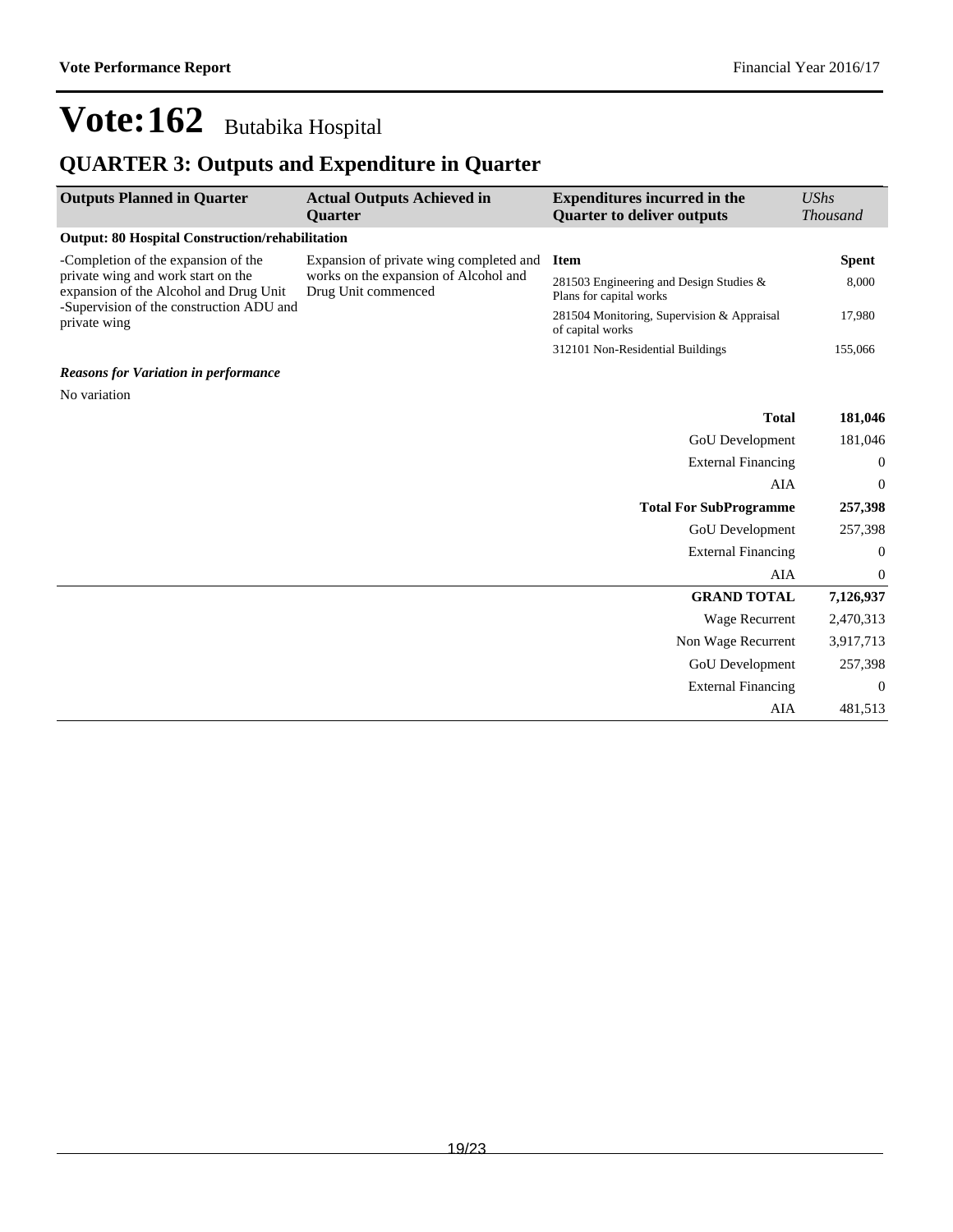## **QUARTER 3: Outputs and Expenditure in Quarter**

| <b>Outputs Planned in Quarter</b>                                            | <b>Actual Outputs Achieved in</b><br>Quarter                                                            | <b>Expenditures incurred in the</b><br><b>Quarter to deliver outputs</b> | <b>UShs</b><br><b>Thousand</b> |
|------------------------------------------------------------------------------|---------------------------------------------------------------------------------------------------------|--------------------------------------------------------------------------|--------------------------------|
| <b>Output: 80 Hospital Construction/rehabilitation</b>                       |                                                                                                         |                                                                          |                                |
| -Completion of the expansion of the                                          | Expansion of private wing completed and<br>works on the expansion of Alcohol and<br>Drug Unit commenced | <b>Item</b>                                                              | <b>Spent</b>                   |
| private wing and work start on the<br>expansion of the Alcohol and Drug Unit |                                                                                                         | 281503 Engineering and Design Studies $\&$<br>Plans for capital works    | 8,000                          |
| -Supervision of the construction ADU and<br>private wing                     |                                                                                                         | 281504 Monitoring, Supervision & Appraisal<br>of capital works           | 17,980                         |
|                                                                              |                                                                                                         | 312101 Non-Residential Buildings                                         | 155,066                        |
| <b>Reasons for Variation in performance</b>                                  |                                                                                                         |                                                                          |                                |
| No variation                                                                 |                                                                                                         |                                                                          |                                |
|                                                                              |                                                                                                         | <b>Total</b>                                                             | 181,046                        |
|                                                                              |                                                                                                         | <b>GoU</b> Development                                                   | 181,046                        |
|                                                                              |                                                                                                         | <b>External Financing</b>                                                | $\boldsymbol{0}$               |
|                                                                              |                                                                                                         | AIA                                                                      | $\boldsymbol{0}$               |
|                                                                              |                                                                                                         | <b>Total For SubProgramme</b>                                            | 257,398                        |
|                                                                              |                                                                                                         | <b>GoU</b> Development                                                   | 257,398                        |
|                                                                              |                                                                                                         | <b>External Financing</b>                                                | $\mathbf{0}$                   |
|                                                                              |                                                                                                         | AIA                                                                      | $\boldsymbol{0}$               |
|                                                                              |                                                                                                         | <b>GRAND TOTAL</b>                                                       | 7,126,937                      |
|                                                                              |                                                                                                         | Wage Recurrent                                                           | 2,470,313                      |
|                                                                              |                                                                                                         | Non Wage Recurrent                                                       | 3,917,713                      |
|                                                                              |                                                                                                         | <b>GoU</b> Development                                                   | 257,398                        |
|                                                                              |                                                                                                         | <b>External Financing</b>                                                | $\overline{0}$                 |
|                                                                              |                                                                                                         | AIA                                                                      | 481,513                        |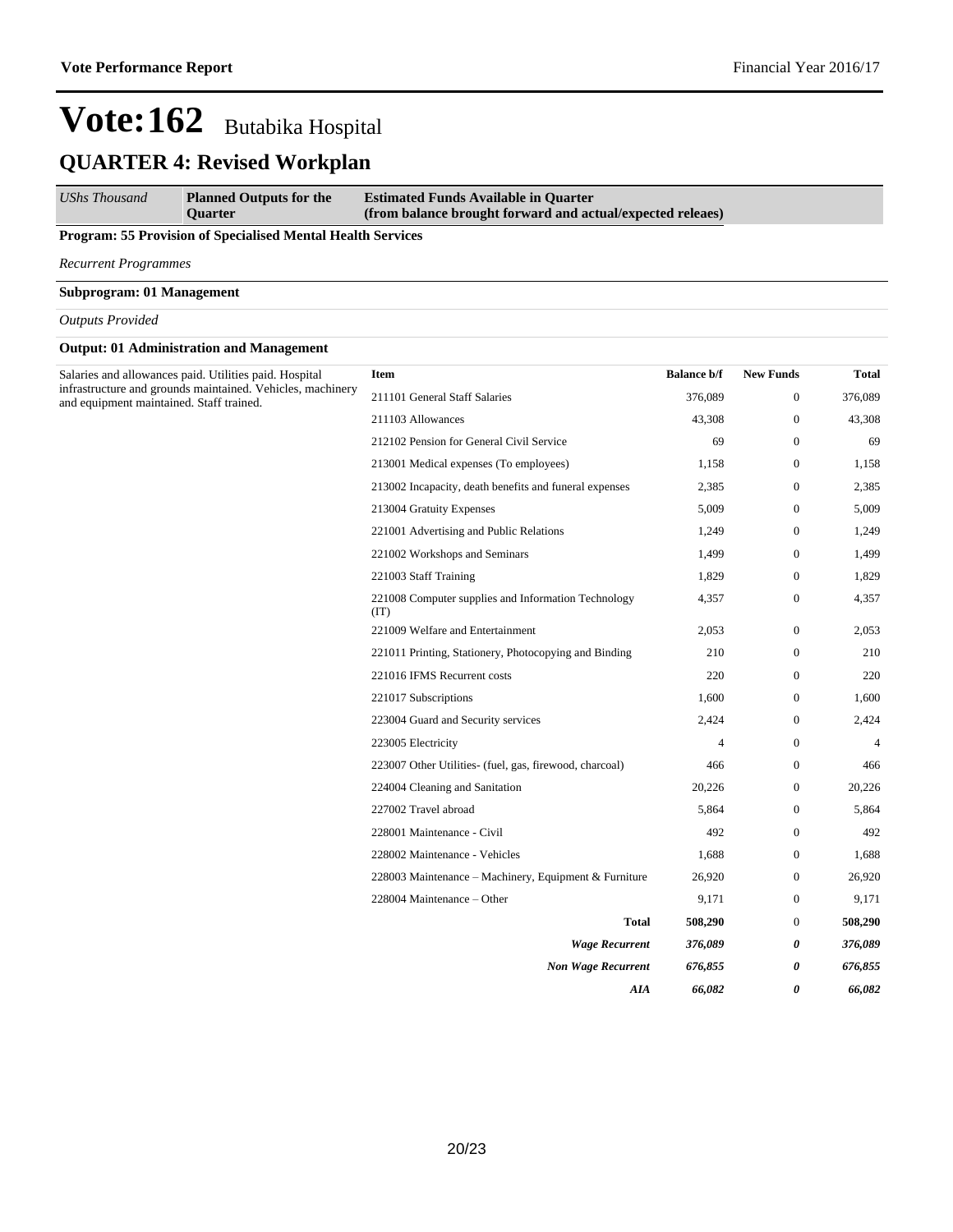### **QUARTER 4: Revised Workplan**

*UShs Thousand* **Planned Outputs for the Quarter Estimated Funds Available in Quarter (from balance brought forward and actual/expected releaes)**

#### **Program: 55 Provision of Specialised Mental Health Services**

*Recurrent Programmes*

#### **Subprogram: 01 Management**

*Outputs Provided*

#### **Output: 01 Administration and Management**

| Salaries and allowances paid. Utilities paid. Hospital<br>infrastructure and grounds maintained. Vehicles, machinery<br>and equipment maintained. Staff trained. | <b>Item</b>                                                 | <b>Balance b/f</b> | <b>New Funds</b> | Total          |
|------------------------------------------------------------------------------------------------------------------------------------------------------------------|-------------------------------------------------------------|--------------------|------------------|----------------|
|                                                                                                                                                                  | 211101 General Staff Salaries                               | 376,089            | $\mathbf{0}$     | 376,089        |
|                                                                                                                                                                  | 211103 Allowances                                           | 43,308             | $\boldsymbol{0}$ | 43,308         |
|                                                                                                                                                                  | 212102 Pension for General Civil Service                    | 69                 | $\mathbf{0}$     | 69             |
|                                                                                                                                                                  | 213001 Medical expenses (To employees)                      | 1,158              | $\mathbf{0}$     | 1,158          |
|                                                                                                                                                                  | 213002 Incapacity, death benefits and funeral expenses      | 2,385              | $\boldsymbol{0}$ | 2,385          |
|                                                                                                                                                                  | 213004 Gratuity Expenses                                    | 5,009              | $\boldsymbol{0}$ | 5,009          |
|                                                                                                                                                                  | 221001 Advertising and Public Relations                     | 1,249              | $\mathbf{0}$     | 1,249          |
|                                                                                                                                                                  | 221002 Workshops and Seminars                               | 1,499              | $\bf{0}$         | 1,499          |
|                                                                                                                                                                  | 221003 Staff Training                                       | 1,829              | $\boldsymbol{0}$ | 1,829          |
|                                                                                                                                                                  | 221008 Computer supplies and Information Technology<br>(IT) | 4,357              | $\boldsymbol{0}$ | 4,357          |
|                                                                                                                                                                  | 221009 Welfare and Entertainment                            | 2,053              | $\boldsymbol{0}$ | 2,053          |
|                                                                                                                                                                  | 221011 Printing, Stationery, Photocopying and Binding       | 210                | $\boldsymbol{0}$ | 210            |
|                                                                                                                                                                  | 221016 IFMS Recurrent costs                                 | 220                | $\mathbf{0}$     | 220            |
|                                                                                                                                                                  | 221017 Subscriptions                                        | 1,600              | $\mathbf{0}$     | 1,600          |
|                                                                                                                                                                  | 223004 Guard and Security services                          | 2,424              | $\boldsymbol{0}$ | 2,424          |
|                                                                                                                                                                  | 223005 Electricity                                          | 4                  | $\mathbf{0}$     | $\overline{4}$ |
|                                                                                                                                                                  | 223007 Other Utilities- (fuel, gas, firewood, charcoal)     | 466                | $\mathbf{0}$     | 466            |
|                                                                                                                                                                  | 224004 Cleaning and Sanitation                              | 20,226             | $\boldsymbol{0}$ | 20,226         |
|                                                                                                                                                                  | 227002 Travel abroad                                        | 5,864              | $\mathbf{0}$     | 5,864          |
|                                                                                                                                                                  | 228001 Maintenance - Civil                                  | 492                | $\mathbf{0}$     | 492            |
|                                                                                                                                                                  | 228002 Maintenance - Vehicles                               | 1,688              | $\boldsymbol{0}$ | 1,688          |
|                                                                                                                                                                  | 228003 Maintenance - Machinery, Equipment & Furniture       | 26,920             | $\boldsymbol{0}$ | 26,920         |
|                                                                                                                                                                  | 228004 Maintenance – Other                                  | 9,171              | $\mathbf{0}$     | 9,171          |
|                                                                                                                                                                  | <b>Total</b>                                                | 508,290            | $\boldsymbol{0}$ | 508,290        |
|                                                                                                                                                                  | <b>Wage Recurrent</b>                                       | 376,089            | 0                | 376,089        |
|                                                                                                                                                                  | <b>Non Wage Recurrent</b>                                   | 676,855            | 0                | 676,855        |
|                                                                                                                                                                  | AIA                                                         | 66,082             | 0                | 66,082         |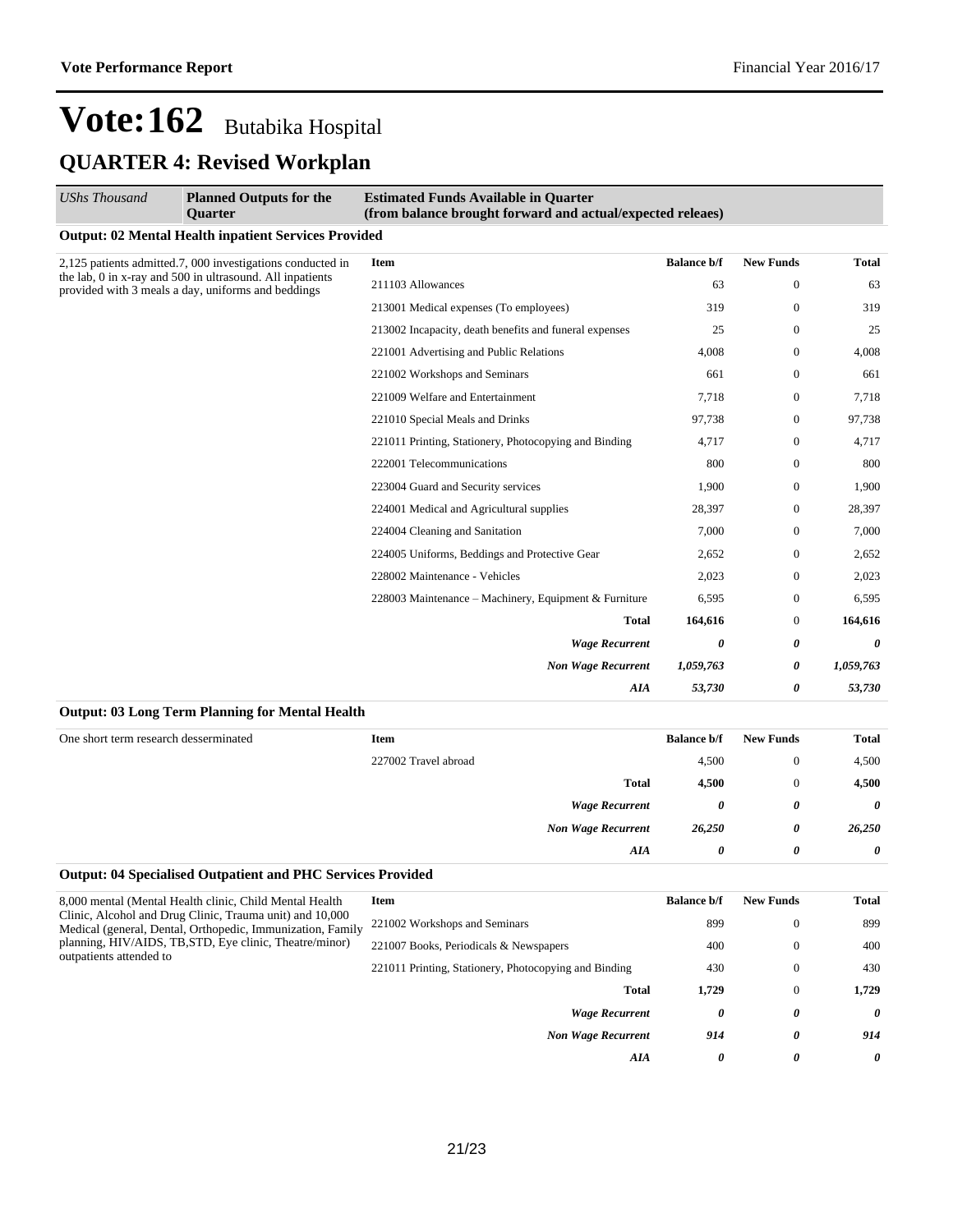## **Vote:162** Butabika Hospital **QUARTER 4: Revised Workplan**

| (from balance brought forward and actual/expected releaes) |         |                     |           |
|------------------------------------------------------------|---------|---------------------|-----------|
|                                                            |         |                     |           |
| <b>Balance b/f</b>                                         |         | <b>New Funds</b>    | Total     |
|                                                            | 63      | $\Omega$            | 63        |
|                                                            | 319     | $\overline{0}$      | 319       |
| 213002 Incapacity, death benefits and funeral expenses     | 25      | $\overline{0}$      | 25        |
|                                                            | 4.008   | $\Omega$            | 4,008     |
|                                                            | 661     | $\overline{0}$      | 661       |
|                                                            | 7,718   | $\Omega$            | 7,718     |
|                                                            | 97,738  | $\overline{0}$      | 97,738    |
| 221011 Printing, Stationery, Photocopying and Binding      | 4,717   | $\overline{0}$      | 4,717     |
|                                                            | 800     | $\overline{0}$      | 800       |
|                                                            | 1,900   | $\overline{0}$      | 1,900     |
|                                                            | 28,397  | $\overline{0}$      | 28,397    |
|                                                            | 7,000   | $\Omega$            | 7,000     |
|                                                            | 2,652   | $\overline{0}$      | 2,652     |
|                                                            | 2,023   | $\overline{0}$      | 2,023     |
| 228003 Maintenance – Machinery, Equipment & Furniture      | 6,595   | $\overline{0}$      | 6,595     |
| <b>Total</b>                                               | 164,616 | $\overline{0}$      | 164,616   |
| <b>Wage Recurrent</b>                                      | 0       | 0                   | $\theta$  |
| <b>Non Wage Recurrent</b>                                  |         | 0                   | 1,059,763 |
| AIA                                                        |         | 0                   | 53,730    |
|                                                            |         | 1,059,763<br>53,730 |           |

| One short term research desserminated | Item                 |                           | <b>Balance b/f</b> | <b>New Funds</b> | <b>Total</b> |
|---------------------------------------|----------------------|---------------------------|--------------------|------------------|--------------|
|                                       | 227002 Travel abroad |                           | 4,500              | $\theta$         | 4,500        |
|                                       |                      | <b>Total</b>              | 4,500              | $\theta$         | 4,500        |
|                                       |                      | <b>Wage Recurrent</b>     | 0                  | 0                | 0            |
|                                       |                      | <b>Non Wage Recurrent</b> | 26,250             | 0                | 26,250       |
|                                       |                      | AIA                       | 0                  | 0                | 0            |

#### **Output: 04 Specialised Outpatient and PHC Services Provided**

| 8,000 mental (Mental Health clinic, Child Mental Health)<br>Clinic, Alcohol and Drug Clinic, Trauma unit) and 10,000<br>Medical (general, Dental, Orthopedic, Immunization, Family<br>planning, HIV/AIDS, TB, STD, Eye clinic, Theatre/minor)<br>outpatients attended to | Item                                                  | <b>Balance b/f</b> | <b>New Funds</b> | Total    |
|--------------------------------------------------------------------------------------------------------------------------------------------------------------------------------------------------------------------------------------------------------------------------|-------------------------------------------------------|--------------------|------------------|----------|
|                                                                                                                                                                                                                                                                          | 221002 Workshops and Seminars                         | 899                | $\mathbf{0}$     | 899      |
|                                                                                                                                                                                                                                                                          | 221007 Books, Periodicals & Newspapers                | 400                | $\mathbf{0}$     | 400      |
|                                                                                                                                                                                                                                                                          | 221011 Printing, Stationery, Photocopying and Binding | 430                | $\mathbf{0}$     | 430      |
|                                                                                                                                                                                                                                                                          | <b>Total</b>                                          | 1.729              | $\mathbf{0}$     | 1.729    |
|                                                                                                                                                                                                                                                                          | <b>Wage Recurrent</b>                                 | 0                  | 0                | $\theta$ |
|                                                                                                                                                                                                                                                                          | <b>Non Wage Recurrent</b>                             | 914                | 0                | 914      |
|                                                                                                                                                                                                                                                                          | AIA                                                   | $\theta$           | 0                | $\theta$ |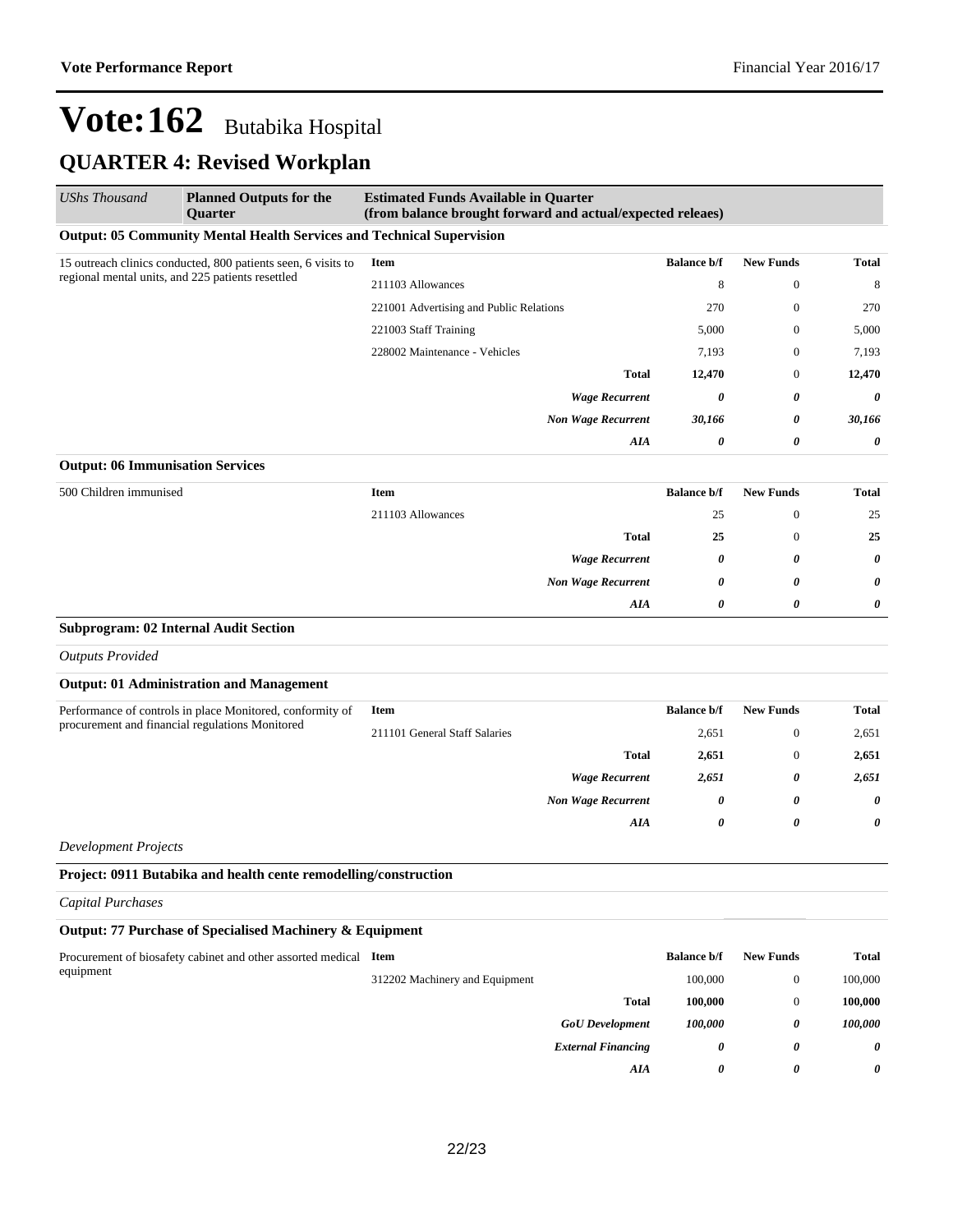## **QUARTER 4: Revised Workplan**

| <b>UShs Thousand</b>                                          | <b>Planned Outputs for the</b><br><b>Quarter</b>                             | <b>Estimated Funds Available in Quarter</b><br>(from balance brought forward and actual/expected releaes) |                    |                  |              |
|---------------------------------------------------------------|------------------------------------------------------------------------------|-----------------------------------------------------------------------------------------------------------|--------------------|------------------|--------------|
|                                                               | <b>Output: 05 Community Mental Health Services and Technical Supervision</b> |                                                                                                           |                    |                  |              |
| 15 outreach clinics conducted, 800 patients seen, 6 visits to |                                                                              | Item                                                                                                      | <b>Balance b/f</b> | <b>New Funds</b> | <b>Total</b> |
| regional mental units, and 225 patients resettled             | 211103 Allowances                                                            | 8                                                                                                         | $\boldsymbol{0}$   | 8                |              |
|                                                               |                                                                              | 221001 Advertising and Public Relations                                                                   | 270                | $\mathbf{0}$     | 270          |
|                                                               |                                                                              | 221003 Staff Training                                                                                     | 5,000              | $\mathbf{0}$     | 5,000        |
|                                                               |                                                                              | 228002 Maintenance - Vehicles                                                                             | 7,193              | $\theta$         | 7,193        |
|                                                               |                                                                              | <b>Total</b>                                                                                              | 12,470             | $\theta$         | 12,470       |
|                                                               |                                                                              | <b>Wage Recurrent</b>                                                                                     | 0                  | 0                | 0            |
|                                                               |                                                                              | <b>Non Wage Recurrent</b>                                                                                 | 30,166             | 0                | 30,166       |
|                                                               |                                                                              | AIA                                                                                                       | 0                  | 0                | 0            |
| <b>Output: 06 Immunisation Services</b>                       |                                                                              |                                                                                                           |                    |                  |              |
| 500 Children immunised                                        |                                                                              | <b>Item</b>                                                                                               | <b>Balance b/f</b> | <b>New Funds</b> | Total        |
|                                                               |                                                                              | 211103 Allowances                                                                                         | 25                 | $\mathbf{0}$     | 25           |
|                                                               |                                                                              | <b>Total</b>                                                                                              | 25                 | $\boldsymbol{0}$ | 25           |
|                                                               |                                                                              | <b>Wage Recurrent</b>                                                                                     | 0                  | 0                | 0            |
|                                                               |                                                                              | <b>Non Wage Recurrent</b>                                                                                 | 0                  | 0                | 0            |
|                                                               |                                                                              | AIA                                                                                                       | 0                  | 0                | 0            |
|                                                               | <b>Subprogram: 02 Internal Audit Section</b>                                 |                                                                                                           |                    |                  |              |
| <b>Outputs Provided</b>                                       |                                                                              |                                                                                                           |                    |                  |              |
|                                                               | <b>Output: 01 Administration and Management</b>                              |                                                                                                           |                    |                  |              |
|                                                               | Performance of controls in place Monitored, conformity of                    | <b>Item</b>                                                                                               | <b>Balance b/f</b> | <b>New Funds</b> | Total        |
|                                                               | procurement and financial regulations Monitored                              | 211101 General Staff Salaries                                                                             | 2,651              | $\boldsymbol{0}$ | 2,651        |
|                                                               |                                                                              | <b>Total</b>                                                                                              | 2,651              | $\boldsymbol{0}$ | 2,651        |
|                                                               |                                                                              | <b>Wage Recurrent</b>                                                                                     | 2,651              | 0                | 2,651        |
|                                                               |                                                                              | <b>Non Wage Recurrent</b>                                                                                 | 0                  | 0                | 0            |
|                                                               |                                                                              | AIA                                                                                                       | 0                  | 0                | 0            |
| <b>Development Projects</b>                                   |                                                                              |                                                                                                           |                    |                  |              |
|                                                               | Project: 0911 Butabika and health cente remodelling/construction             |                                                                                                           |                    |                  |              |
| <b>Capital Purchases</b>                                      |                                                                              |                                                                                                           |                    |                  |              |
|                                                               | Output: 77 Purchase of Specialised Machinery & Equipment                     |                                                                                                           |                    |                  |              |
|                                                               | Procurement of biosafety cabinet and other assorted medical Item             |                                                                                                           | <b>Balance b/f</b> | <b>New Funds</b> | <b>Total</b> |
| equipment                                                     |                                                                              | 312202 Machinery and Equipment                                                                            | 100,000            | $\boldsymbol{0}$ | 100,000      |
|                                                               |                                                                              | <b>Total</b>                                                                                              | 100,000            | $\mathbf{0}$     | 100,000      |
|                                                               |                                                                              | <b>GoU</b> Development                                                                                    | 100,000            | 0                | 100,000      |
|                                                               |                                                                              | <b>External Financing</b>                                                                                 | 0                  | 0                | 0            |
|                                                               |                                                                              | AIA                                                                                                       | 0                  | 0                | 0            |